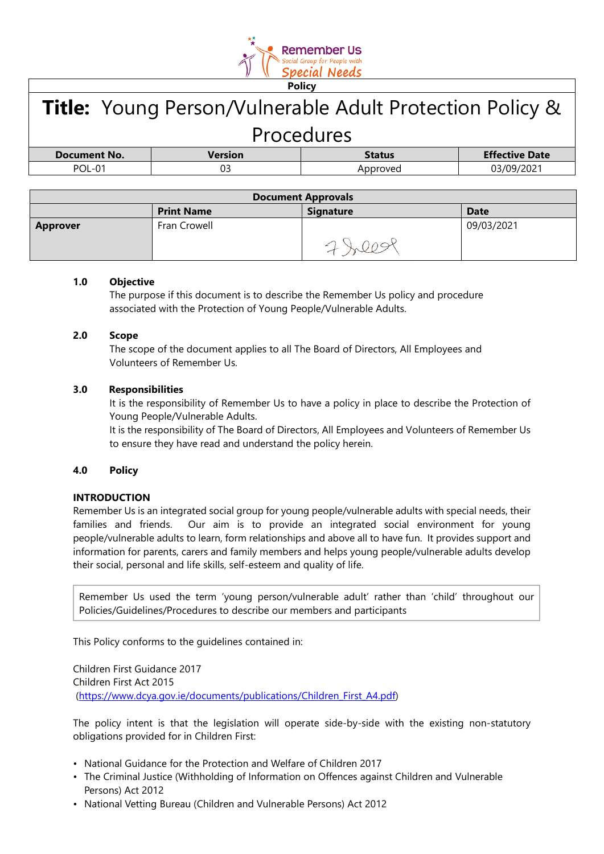

## **Title:** Young Person/Vulnerable Adult Protection Policy & Procedures

| <b>Document No.</b> | <b>Version</b> | Status   | <b>Effective Date</b> |
|---------------------|----------------|----------|-----------------------|
| POL-u<br>$\sim$     | n'             | Approved | 3/09/2021             |

| <b>Document Approvals</b> |                   |                  |             |  |
|---------------------------|-------------------|------------------|-------------|--|
|                           | <b>Print Name</b> | <b>Signature</b> | <b>Date</b> |  |
| <b>Approver</b>           | Fran Crowell      |                  | 09/03/2021  |  |
|                           |                   |                  |             |  |

#### **1.0 Objective**

The purpose if this document is to describe the Remember Us policy and procedure associated with the Protection of Young People/Vulnerable Adults.

#### **2.0 Scope**

The scope of the document applies to all The Board of Directors, All Employees and Volunteers of Remember Us.

#### **3.0 Responsibilities**

It is the responsibility of Remember Us to have a policy in place to describe the Protection of Young People/Vulnerable Adults.

It is the responsibility of The Board of Directors, All Employees and Volunteers of Remember Us to ensure they have read and understand the policy herein.

#### **4.0 Policy**

#### **INTRODUCTION**

Remember Us is an integrated social group for young people/vulnerable adults with special needs, their families and friends. Our aim is to provide an integrated social environment for young people/vulnerable adults to learn, form relationships and above all to have fun. It provides support and information for parents, carers and family members and helps young people/vulnerable adults develop their social, personal and life skills, self-esteem and quality of life.

Remember Us used the term 'young person/vulnerable adult' rather than 'child' throughout our Policies/Guidelines/Procedures to describe our members and participants

This Policy conforms to the guidelines contained in:

Children First Guidance 2017 Children First Act 2015 [\(https://www.dcya.gov.ie/documents/publications/Children\\_First\\_A4.pdf\)](https://www.dcya.gov.ie/documents/publications/Children_First_A4.pdf)

The policy intent is that the legislation will operate side-by-side with the existing non-statutory obligations provided for in Children First:

- National Guidance for the Protection and Welfare of Children 2017
- The Criminal Justice (Withholding of Information on Offences against Children and Vulnerable Persons) Act 2012
- National Vetting Bureau (Children and Vulnerable Persons) Act 2012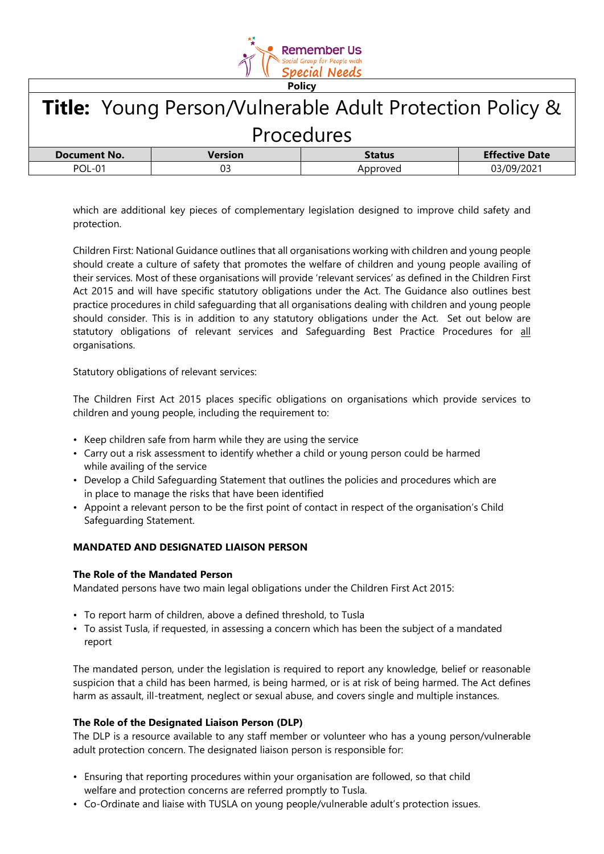

### **Title:** Young Person/Vulnerable Adult Protection Policy & Procedures **Document No.**  $\begin{array}{|c|c|c|c|c|}\n\hline\n\end{array}$  **Version**  $\begin{array}{|c|c|c|c|c|}\n\hline\n\end{array}$  **Status**  $\begin{array}{|c|c|c|c|c|}\n\hline\n\end{array}$  **Effective Date**

which are additional key pieces of complementary legislation designed to improve child safety and protection.

POL-01 03 Approved 03/09/2021

Children First: National Guidance outlines that all organisations working with children and young people should create a culture of safety that promotes the welfare of children and young people availing of their services. Most of these organisations will provide 'relevant services' as defined in the Children First Act 2015 and will have specific statutory obligations under the Act. The Guidance also outlines best practice procedures in child safeguarding that all organisations dealing with children and young people should consider. This is in addition to any statutory obligations under the Act. Set out below are statutory obligations of relevant services and Safeguarding Best Practice Procedures for all organisations.

Statutory obligations of relevant services:

The Children First Act 2015 places specific obligations on organisations which provide services to children and young people, including the requirement to:

- Keep children safe from harm while they are using the service
- Carry out a risk assessment to identify whether a child or young person could be harmed while availing of the service
- Develop a Child Safeguarding Statement that outlines the policies and procedures which are in place to manage the risks that have been identified
- Appoint a relevant person to be the first point of contact in respect of the organisation's Child Safeguarding Statement.

#### **MANDATED AND DESIGNATED LIAISON PERSON**

#### **The Role of the Mandated Person**

Mandated persons have two main legal obligations under the Children First Act 2015:

- To report harm of children, above a defined threshold, to Tusla
- To assist Tusla, if requested, in assessing a concern which has been the subject of a mandated report

The mandated person, under the legislation is required to report any knowledge, belief or reasonable suspicion that a child has been harmed, is being harmed, or is at risk of being harmed. The Act defines harm as assault, ill-treatment, neglect or sexual abuse, and covers single and multiple instances.

#### **The Role of the Designated Liaison Person (DLP)**

The DLP is a resource available to any staff member or volunteer who has a young person/vulnerable adult protection concern. The designated liaison person is responsible for:

- Ensuring that reporting procedures within your organisation are followed, so that child welfare and protection concerns are referred promptly to Tusla.
- Co-Ordinate and liaise with TUSLA on young people/vulnerable adult's protection issues.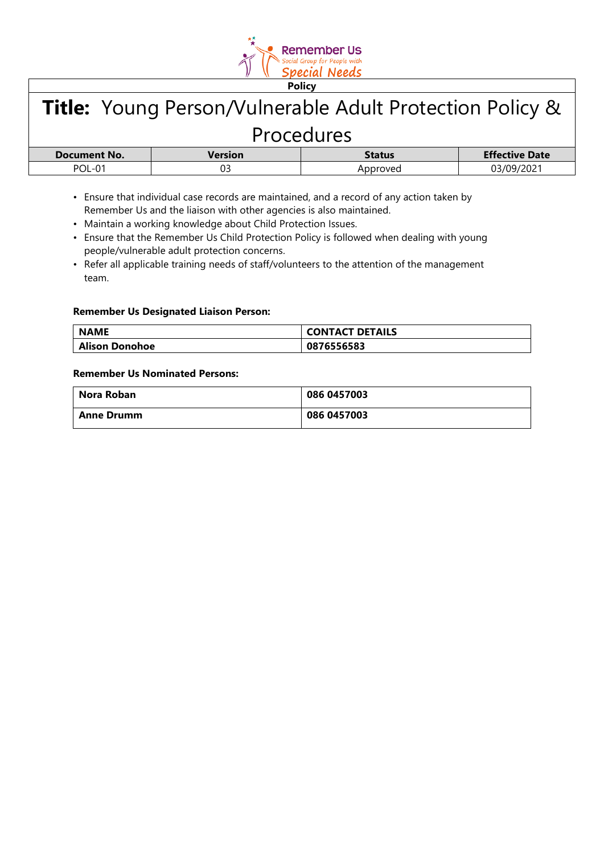

### **Title:** Young Person/Vulnerable Adult Protection Policy & Procedures

| <b>Document No.</b> | /ersion | Status   | <b>Effective Date</b> |
|---------------------|---------|----------|-----------------------|
| $\sim$<br>POL-u     |         | pproved، | ,/09/2021             |

- Ensure that individual case records are maintained, and a record of any action taken by Remember Us and the liaison with other agencies is also maintained.
- Maintain a working knowledge about Child Protection Issues.
- Ensure that the Remember Us Child Protection Policy is followed when dealing with young people/vulnerable adult protection concerns.
- Refer all applicable training needs of staff/volunteers to the attention of the management team.

#### **Remember Us Designated Liaison Person:**

| <b>NAME</b>           | <b>CONTACT DETAILS</b> |
|-----------------------|------------------------|
| <b>Alison Donohoe</b> | 0876556583             |

#### **Remember Us Nominated Persons:**

| Nora Roban        | 086 0457003 |
|-------------------|-------------|
| <b>Anne Drumm</b> | 086 0457003 |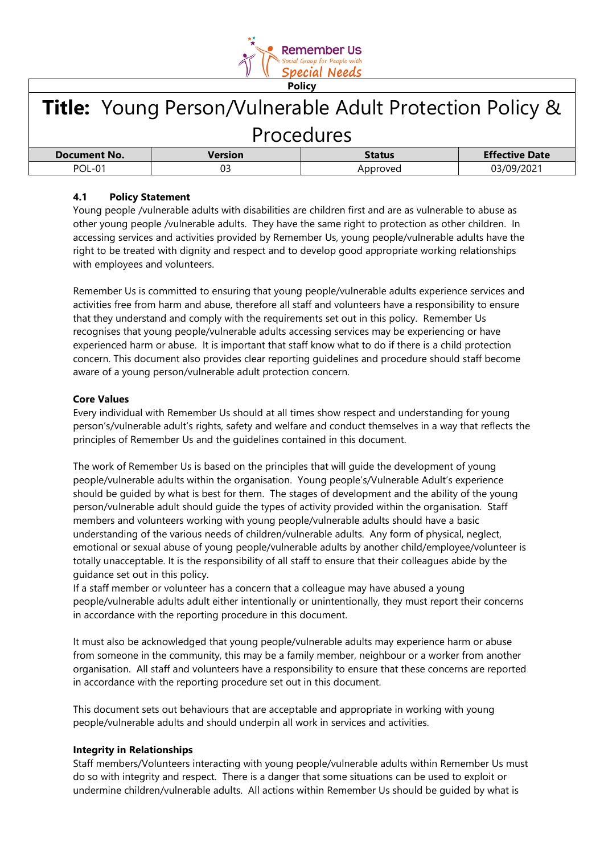

# **Title:** Young Person/Vulnerable Adult Protection Policy & Procedures

| <b>Document No.</b>      | 'ersion | Status   | $T_{\rm{eff}}$ $\sim$ $\sim$ $\sim$<br>Effective Date |
|--------------------------|---------|----------|-------------------------------------------------------|
| ורום<br>$^{\circ}$<br>UL | ັບ      | Innroved | /2021                                                 |
|                          |         |          |                                                       |

#### **4.1 Policy Statement**

Young people /vulnerable adults with disabilities are children first and are as vulnerable to abuse as other young people /vulnerable adults. They have the same right to protection as other children. In accessing services and activities provided by Remember Us, young people/vulnerable adults have the right to be treated with dignity and respect and to develop good appropriate working relationships with employees and volunteers.

Remember Us is committed to ensuring that young people/vulnerable adults experience services and activities free from harm and abuse, therefore all staff and volunteers have a responsibility to ensure that they understand and comply with the requirements set out in this policy. Remember Us recognises that young people/vulnerable adults accessing services may be experiencing or have experienced harm or abuse. It is important that staff know what to do if there is a child protection concern. This document also provides clear reporting guidelines and procedure should staff become aware of a young person/vulnerable adult protection concern.

#### **Core Values**

Every individual with Remember Us should at all times show respect and understanding for young person's/vulnerable adult's rights, safety and welfare and conduct themselves in a way that reflects the principles of Remember Us and the guidelines contained in this document.

The work of Remember Us is based on the principles that will guide the development of young people/vulnerable adults within the organisation. Young people's/Vulnerable Adult's experience should be guided by what is best for them. The stages of development and the ability of the young person/vulnerable adult should guide the types of activity provided within the organisation. Staff members and volunteers working with young people/vulnerable adults should have a basic understanding of the various needs of children/vulnerable adults. Any form of physical, neglect, emotional or sexual abuse of young people/vulnerable adults by another child/employee/volunteer is totally unacceptable. It is the responsibility of all staff to ensure that their colleagues abide by the guidance set out in this policy.

If a staff member or volunteer has a concern that a colleague may have abused a young people/vulnerable adults adult either intentionally or unintentionally, they must report their concerns in accordance with the reporting procedure in this document.

It must also be acknowledged that young people/vulnerable adults may experience harm or abuse from someone in the community, this may be a family member, neighbour or a worker from another organisation. All staff and volunteers have a responsibility to ensure that these concerns are reported in accordance with the reporting procedure set out in this document.

This document sets out behaviours that are acceptable and appropriate in working with young people/vulnerable adults and should underpin all work in services and activities.

#### **Integrity in Relationships**

Staff members/Volunteers interacting with young people/vulnerable adults within Remember Us must do so with integrity and respect. There is a danger that some situations can be used to exploit or undermine children/vulnerable adults. All actions within Remember Us should be guided by what is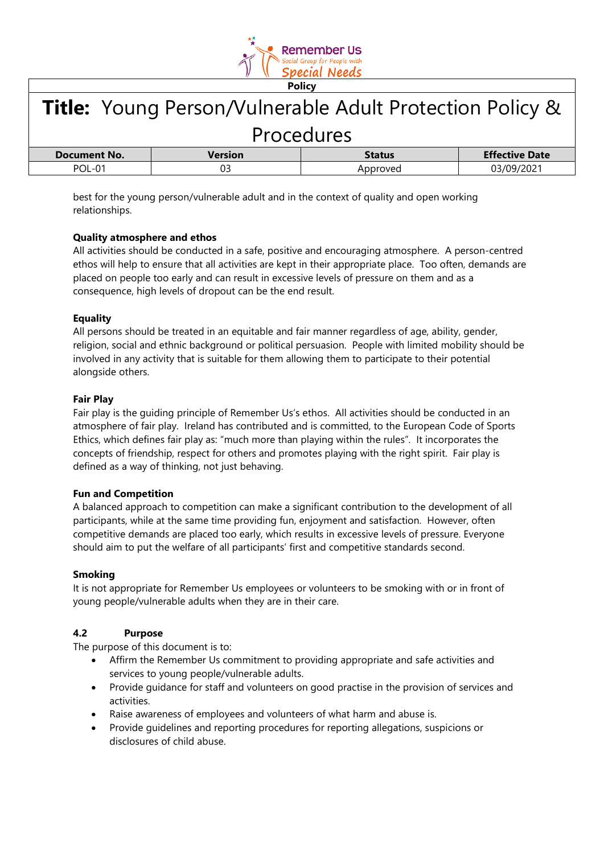

# **Title:** Young Person/Vulnerable Adult Protection Policy & Procedures

| <b>Document No.</b> | <b>Version</b> | Status          | <b>Effective Date</b> |
|---------------------|----------------|-----------------|-----------------------|
| <b>POL-01</b>       | ັ              | <b>\pproved</b> | J3/09/2021            |
|                     |                |                 |                       |

best for the young person/vulnerable adult and in the context of quality and open working relationships.

#### **Quality atmosphere and ethos**

All activities should be conducted in a safe, positive and encouraging atmosphere. A person-centred ethos will help to ensure that all activities are kept in their appropriate place. Too often, demands are placed on people too early and can result in excessive levels of pressure on them and as a consequence, high levels of dropout can be the end result.

#### **Equality**

All persons should be treated in an equitable and fair manner regardless of age, ability, gender, religion, social and ethnic background or political persuasion. People with limited mobility should be involved in any activity that is suitable for them allowing them to participate to their potential alongside others.

#### **Fair Play**

Fair play is the guiding principle of Remember Us's ethos. All activities should be conducted in an atmosphere of fair play. Ireland has contributed and is committed, to the European Code of Sports Ethics, which defines fair play as: "much more than playing within the rules". It incorporates the concepts of friendship, respect for others and promotes playing with the right spirit. Fair play is defined as a way of thinking, not just behaving.

#### **Fun and Competition**

A balanced approach to competition can make a significant contribution to the development of all participants, while at the same time providing fun, enjoyment and satisfaction. However, often competitive demands are placed too early, which results in excessive levels of pressure. Everyone should aim to put the welfare of all participants' first and competitive standards second.

#### **Smoking**

It is not appropriate for Remember Us employees or volunteers to be smoking with or in front of young people/vulnerable adults when they are in their care.

#### **4.2 Purpose**

The purpose of this document is to:

- Affirm the Remember Us commitment to providing appropriate and safe activities and services to young people/vulnerable adults.
- Provide guidance for staff and volunteers on good practise in the provision of services and activities.
- Raise awareness of employees and volunteers of what harm and abuse is.
- Provide guidelines and reporting procedures for reporting allegations, suspicions or disclosures of child abuse.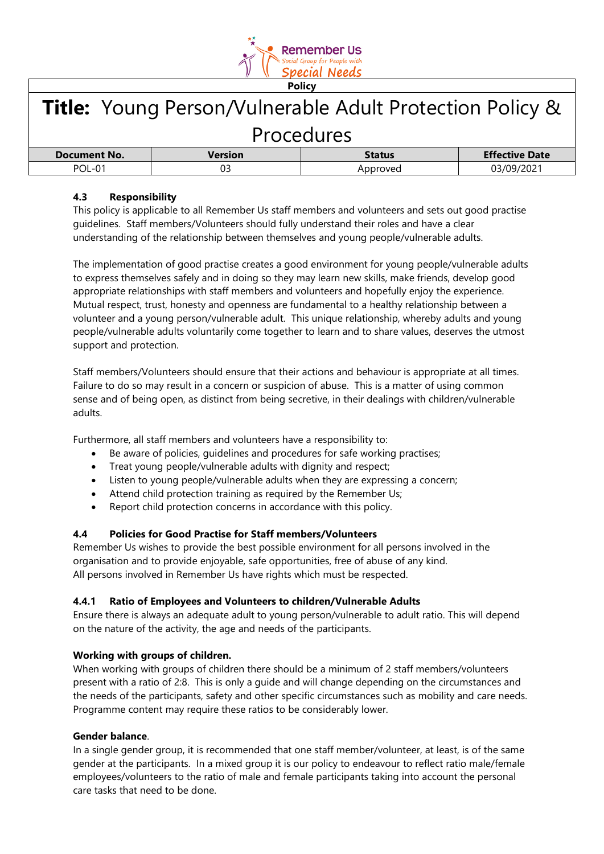

# **Title:** Young Person/Vulnerable Adult Protection Policy & Procedures

| <b>Document No.</b>                | <b>Version</b> | Status  | <b>Effective Date</b> |
|------------------------------------|----------------|---------|-----------------------|
| ורוס<br>$\bigcap$<br>″UL.<br>ำ−∪ . | . .            | pproved | /2021<br>∕∩വ          |

#### **4.3 Responsibility**

This policy is applicable to all Remember Us staff members and volunteers and sets out good practise guidelines. Staff members/Volunteers should fully understand their roles and have a clear understanding of the relationship between themselves and young people/vulnerable adults.

The implementation of good practise creates a good environment for young people/vulnerable adults to express themselves safely and in doing so they may learn new skills, make friends, develop good appropriate relationships with staff members and volunteers and hopefully enjoy the experience. Mutual respect, trust, honesty and openness are fundamental to a healthy relationship between a volunteer and a young person/vulnerable adult. This unique relationship, whereby adults and young people/vulnerable adults voluntarily come together to learn and to share values, deserves the utmost support and protection.

Staff members/Volunteers should ensure that their actions and behaviour is appropriate at all times. Failure to do so may result in a concern or suspicion of abuse. This is a matter of using common sense and of being open, as distinct from being secretive, in their dealings with children/vulnerable adults.

Furthermore, all staff members and volunteers have a responsibility to:

- Be aware of policies, guidelines and procedures for safe working practises;
- Treat young people/vulnerable adults with dignity and respect;
- Listen to young people/vulnerable adults when they are expressing a concern;
- Attend child protection training as required by the Remember Us;
- Report child protection concerns in accordance with this policy.

#### **4.4 Policies for Good Practise for Staff members/Volunteers**

Remember Us wishes to provide the best possible environment for all persons involved in the organisation and to provide enjoyable, safe opportunities, free of abuse of any kind. All persons involved in Remember Us have rights which must be respected.

#### **4.4.1 Ratio of Employees and Volunteers to children/Vulnerable Adults**

Ensure there is always an adequate adult to young person/vulnerable to adult ratio. This will depend on the nature of the activity, the age and needs of the participants.

#### **Working with groups of children.**

When working with groups of children there should be a minimum of 2 staff members/volunteers present with a ratio of 2:8. This is only a guide and will change depending on the circumstances and the needs of the participants, safety and other specific circumstances such as mobility and care needs. Programme content may require these ratios to be considerably lower.

#### **Gender balance**.

In a single gender group, it is recommended that one staff member/volunteer, at least, is of the same gender at the participants. In a mixed group it is our policy to endeavour to reflect ratio male/female employees/volunteers to the ratio of male and female participants taking into account the personal care tasks that need to be done.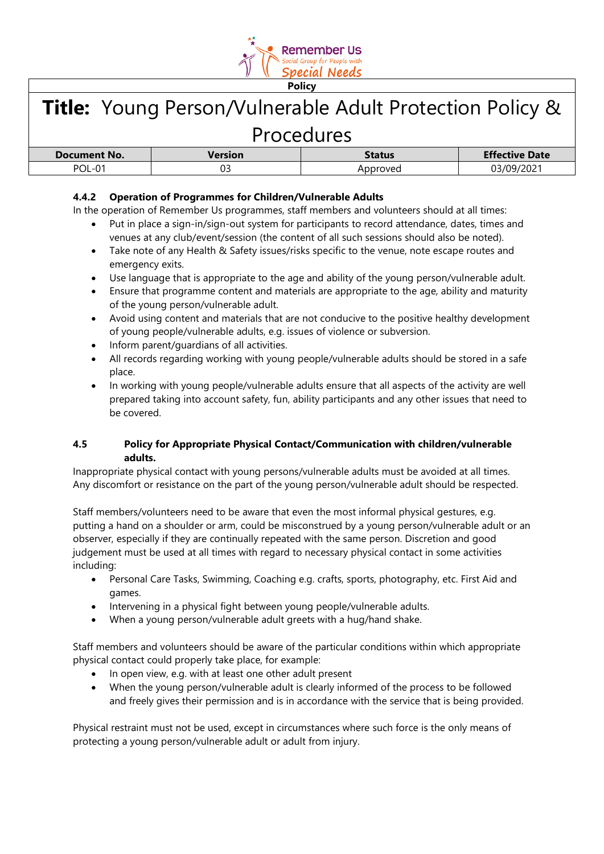

### **Title:** Young Person/Vulnerable Adult Protection Policy & Procedures

| <b>Document No.</b> | Version  | Status   | <b>Effective Date</b> |
|---------------------|----------|----------|-----------------------|
| <b>POL-01</b>       | <u>^</u> | \pproved | J3/09/2021            |

#### **4.4.2 Operation of Programmes for Children/Vulnerable Adults**

In the operation of Remember Us programmes, staff members and volunteers should at all times:

- Put in place a sign-in/sign-out system for participants to record attendance, dates, times and venues at any club/event/session (the content of all such sessions should also be noted).
- Take note of any Health & Safety issues/risks specific to the venue, note escape routes and emergency exits.
- Use language that is appropriate to the age and ability of the young person/vulnerable adult.
- Ensure that programme content and materials are appropriate to the age, ability and maturity of the young person/vulnerable adult.
- Avoid using content and materials that are not conducive to the positive healthy development of young people/vulnerable adults, e.g. issues of violence or subversion.
- Inform parent/guardians of all activities.
- All records regarding working with young people/vulnerable adults should be stored in a safe place.
- In working with young people/vulnerable adults ensure that all aspects of the activity are well prepared taking into account safety, fun, ability participants and any other issues that need to be covered.

#### **4.5 Policy for Appropriate Physical Contact/Communication with children/vulnerable adults.**

Inappropriate physical contact with young persons/vulnerable adults must be avoided at all times. Any discomfort or resistance on the part of the young person/vulnerable adult should be respected.

Staff members/volunteers need to be aware that even the most informal physical gestures, e.g. putting a hand on a shoulder or arm, could be misconstrued by a young person/vulnerable adult or an observer, especially if they are continually repeated with the same person. Discretion and good judgement must be used at all times with regard to necessary physical contact in some activities including:

- Personal Care Tasks, Swimming, Coaching e.g. crafts, sports, photography, etc. First Aid and games.
- Intervening in a physical fight between young people/vulnerable adults.
- When a young person/vulnerable adult greets with a hug/hand shake.

Staff members and volunteers should be aware of the particular conditions within which appropriate physical contact could properly take place, for example:

- In open view, e.g. with at least one other adult present
- When the young person/vulnerable adult is clearly informed of the process to be followed and freely gives their permission and is in accordance with the service that is being provided.

Physical restraint must not be used, except in circumstances where such force is the only means of protecting a young person/vulnerable adult or adult from injury.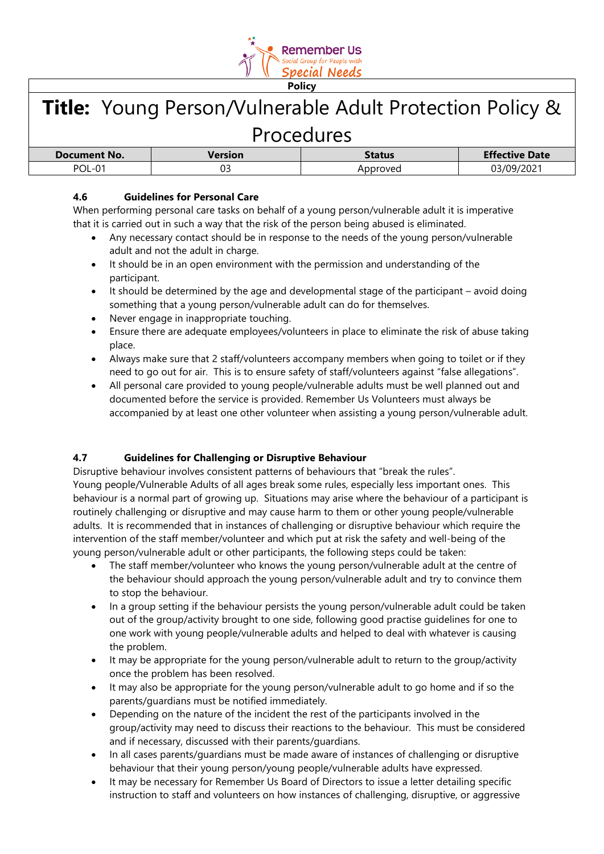

## **Title:** Young Person/Vulnerable Adult Protection Policy & Procedures

| <b>Document No.</b> | <b>Version</b> | Status   | <b>Effective Date</b> |
|---------------------|----------------|----------|-----------------------|
| POL<br>$\sim$       | 03             | Approved | 3/09/2021             |

#### **4.6 Guidelines for Personal Care**

When performing personal care tasks on behalf of a young person/vulnerable adult it is imperative that it is carried out in such a way that the risk of the person being abused is eliminated.

- Any necessary contact should be in response to the needs of the young person/vulnerable adult and not the adult in charge.
- It should be in an open environment with the permission and understanding of the participant.
- It should be determined by the age and developmental stage of the participant avoid doing something that a young person/vulnerable adult can do for themselves.
- Never engage in inappropriate touching.
- Ensure there are adequate employees/volunteers in place to eliminate the risk of abuse taking place.
- Always make sure that 2 staff/volunteers accompany members when going to toilet or if they need to go out for air. This is to ensure safety of staff/volunteers against "false allegations".
- All personal care provided to young people/vulnerable adults must be well planned out and documented before the service is provided. Remember Us Volunteers must always be accompanied by at least one other volunteer when assisting a young person/vulnerable adult.

#### **4.7 Guidelines for Challenging or Disruptive Behaviour**

Disruptive behaviour involves consistent patterns of behaviours that "break the rules". Young people/Vulnerable Adults of all ages break some rules, especially less important ones. This behaviour is a normal part of growing up. Situations may arise where the behaviour of a participant is routinely challenging or disruptive and may cause harm to them or other young people/vulnerable adults. It is recommended that in instances of challenging or disruptive behaviour which require the intervention of the staff member/volunteer and which put at risk the safety and well-being of the young person/vulnerable adult or other participants, the following steps could be taken:

- The staff member/volunteer who knows the young person/vulnerable adult at the centre of the behaviour should approach the young person/vulnerable adult and try to convince them to stop the behaviour.
- In a group setting if the behaviour persists the young person/vulnerable adult could be taken out of the group/activity brought to one side, following good practise guidelines for one to one work with young people/vulnerable adults and helped to deal with whatever is causing the problem.
- It may be appropriate for the young person/vulnerable adult to return to the group/activity once the problem has been resolved.
- It may also be appropriate for the young person/vulnerable adult to go home and if so the parents/guardians must be notified immediately.
- Depending on the nature of the incident the rest of the participants involved in the group/activity may need to discuss their reactions to the behaviour. This must be considered and if necessary, discussed with their parents/guardians.
- In all cases parents/guardians must be made aware of instances of challenging or disruptive behaviour that their young person/young people/vulnerable adults have expressed.
- It may be necessary for Remember Us Board of Directors to issue a letter detailing specific instruction to staff and volunteers on how instances of challenging, disruptive, or aggressive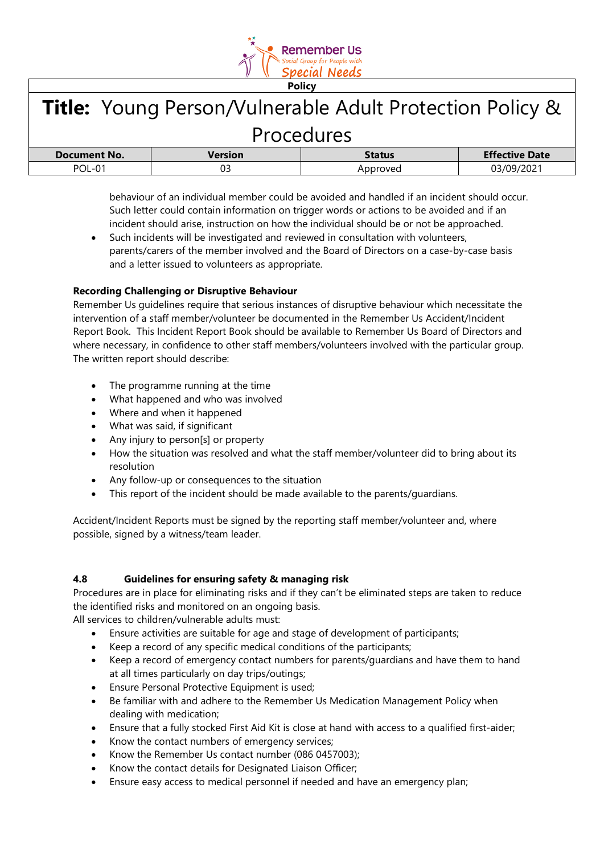

## **Title:** Young Person/Vulnerable Adult Protection Policy & Procedures

| Document No.  | Version        | Status   | <b>Effective Date</b> |
|---------------|----------------|----------|-----------------------|
| <b>POL-01</b> | <b>^</b><br>ັັ | Approved | 03/09/2021            |

behaviour of an individual member could be avoided and handled if an incident should occur. Such letter could contain information on trigger words or actions to be avoided and if an incident should arise, instruction on how the individual should be or not be approached.

• Such incidents will be investigated and reviewed in consultation with volunteers, parents/carers of the member involved and the Board of Directors on a case-by-case basis and a letter issued to volunteers as appropriate.

#### **Recording Challenging or Disruptive Behaviour**

Remember Us guidelines require that serious instances of disruptive behaviour which necessitate the intervention of a staff member/volunteer be documented in the Remember Us Accident/Incident Report Book. This Incident Report Book should be available to Remember Us Board of Directors and where necessary, in confidence to other staff members/volunteers involved with the particular group. The written report should describe:

- The programme running at the time
- What happened and who was involved
- Where and when it happened
- What was said, if significant
- Any injury to person[s] or property
- How the situation was resolved and what the staff member/volunteer did to bring about its resolution
- Any follow-up or consequences to the situation
- This report of the incident should be made available to the parents/guardians.

Accident/Incident Reports must be signed by the reporting staff member/volunteer and, where possible, signed by a witness/team leader.

#### **4.8 Guidelines for ensuring safety & managing risk**

Procedures are in place for eliminating risks and if they can't be eliminated steps are taken to reduce the identified risks and monitored on an ongoing basis.

All services to children/vulnerable adults must:

- Ensure activities are suitable for age and stage of development of participants;
- Keep a record of any specific medical conditions of the participants;
- Keep a record of emergency contact numbers for parents/guardians and have them to hand at all times particularly on day trips/outings;
- Ensure Personal Protective Equipment is used;
- Be familiar with and adhere to the Remember Us Medication Management Policy when dealing with medication;
- Ensure that a fully stocked First Aid Kit is close at hand with access to a qualified first-aider;
- Know the contact numbers of emergency services;
- Know the Remember Us contact number (086 0457003);
- Know the contact details for Designated Liaison Officer;
- Ensure easy access to medical personnel if needed and have an emergency plan;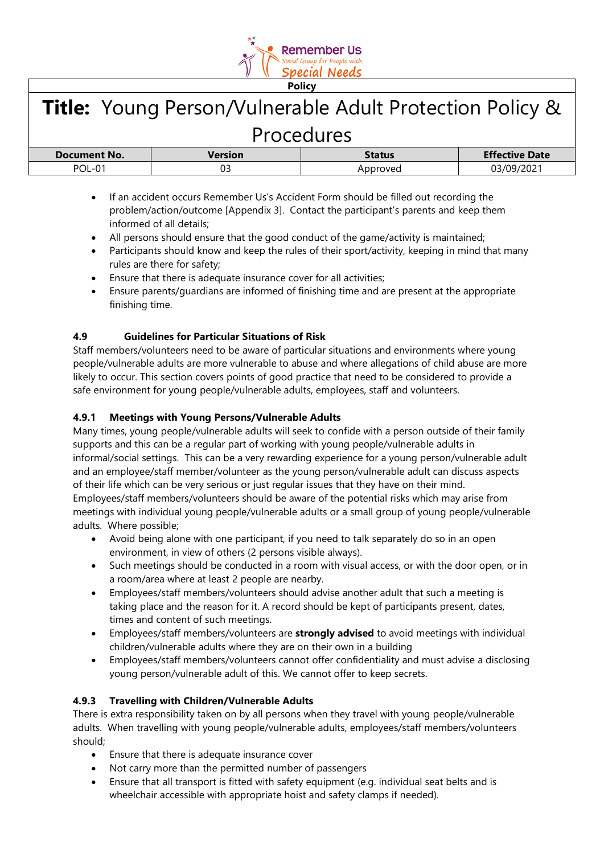

### **Title:** Young Person/Vulnerable Adult Protection Policy & Procedures

| <b>Document No.</b>   | /ersion | ີ່<br>status | <b>Effective Date</b> |
|-----------------------|---------|--------------|-----------------------|
| ורום<br>$\sim$<br>UL. | ັັ      | pproved      | /2021<br>∕∩Q          |

- If an accident occurs Remember Us's Accident Form should be filled out recording the problem/action/outcome [Appendix 3]. Contact the participant's parents and keep them informed of all details;
- All persons should ensure that the good conduct of the game/activity is maintained;
- Participants should know and keep the rules of their sport/activity, keeping in mind that many rules are there for safety;
- Ensure that there is adequate insurance cover for all activities;
- Ensure parents/guardians are informed of finishing time and are present at the appropriate finishing time.

#### **4.9 Guidelines for Particular Situations of Risk**

Staff members/volunteers need to be aware of particular situations and environments where young people/vulnerable adults are more vulnerable to abuse and where allegations of child abuse are more likely to occur. This section covers points of good practice that need to be considered to provide a safe environment for young people/vulnerable adults, employees, staff and volunteers.

#### **4.9.1 Meetings with Young Persons/Vulnerable Adults**

Many times, young people/vulnerable adults will seek to confide with a person outside of their family supports and this can be a regular part of working with young people/vulnerable adults in informal/social settings. This can be a very rewarding experience for a young person/vulnerable adult and an employee/staff member/volunteer as the young person/vulnerable adult can discuss aspects of their life which can be very serious or just regular issues that they have on their mind.

Employees/staff members/volunteers should be aware of the potential risks which may arise from meetings with individual young people/vulnerable adults or a small group of young people/vulnerable adults. Where possible;

- Avoid being alone with one participant, if you need to talk separately do so in an open environment, in view of others (2 persons visible always).
- Such meetings should be conducted in a room with visual access, or with the door open, or in a room/area where at least 2 people are nearby.
- Employees/staff members/volunteers should advise another adult that such a meeting is taking place and the reason for it. A record should be kept of participants present, dates, times and content of such meetings.
- Employees/staff members/volunteers are **strongly advised** to avoid meetings with individual children/vulnerable adults where they are on their own in a building
- Employees/staff members/volunteers cannot offer confidentiality and must advise a disclosing young person/vulnerable adult of this. We cannot offer to keep secrets.

#### **4.9.3 Travelling with Children/Vulnerable Adults**

There is extra responsibility taken on by all persons when they travel with young people/vulnerable adults. When travelling with young people/vulnerable adults, employees/staff members/volunteers should;

- Ensure that there is adequate insurance cover
- Not carry more than the permitted number of passengers
- Ensure that all transport is fitted with safety equipment (e.g. individual seat belts and is wheelchair accessible with appropriate hoist and safety clamps if needed).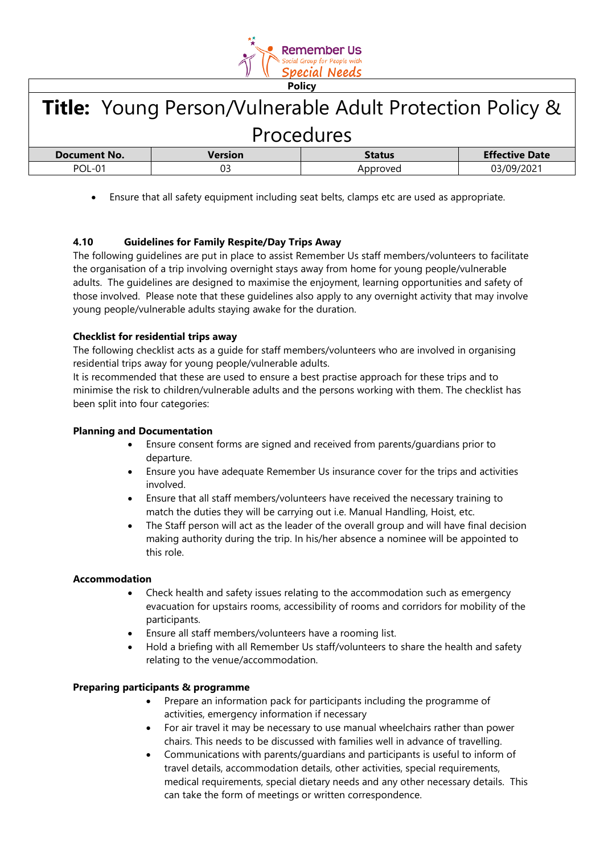

# **Title:** Young Person/Vulnerable Adult Protection Policy & Procedures

| <b>Document No.</b>   | <b>Version</b> | <b>Status</b> | <b>Effective Date</b> |
|-----------------------|----------------|---------------|-----------------------|
| $\sim$<br><b>POL-</b> |                | pproved       | /09/2021              |

• Ensure that all safety equipment including seat belts, clamps etc are used as appropriate.

#### **4.10 Guidelines for Family Respite/Day Trips Away**

The following guidelines are put in place to assist Remember Us staff members/volunteers to facilitate the organisation of a trip involving overnight stays away from home for young people/vulnerable adults. The guidelines are designed to maximise the enjoyment, learning opportunities and safety of those involved. Please note that these guidelines also apply to any overnight activity that may involve young people/vulnerable adults staying awake for the duration.

#### **Checklist for residential trips away**

The following checklist acts as a guide for staff members/volunteers who are involved in organising residential trips away for young people/vulnerable adults.

It is recommended that these are used to ensure a best practise approach for these trips and to minimise the risk to children/vulnerable adults and the persons working with them. The checklist has been split into four categories:

#### **Planning and Documentation**

- Ensure consent forms are signed and received from parents/guardians prior to departure.
- Ensure you have adequate Remember Us insurance cover for the trips and activities involved.
- Ensure that all staff members/volunteers have received the necessary training to match the duties they will be carrying out i.e. Manual Handling, Hoist, etc.
- The Staff person will act as the leader of the overall group and will have final decision making authority during the trip. In his/her absence a nominee will be appointed to this role.

#### **Accommodation**

- Check health and safety issues relating to the accommodation such as emergency evacuation for upstairs rooms, accessibility of rooms and corridors for mobility of the participants.
- Ensure all staff members/volunteers have a rooming list.
- Hold a briefing with all Remember Us staff/volunteers to share the health and safety relating to the venue/accommodation.

#### **Preparing participants & programme**

- Prepare an information pack for participants including the programme of activities, emergency information if necessary
- For air travel it may be necessary to use manual wheelchairs rather than power chairs. This needs to be discussed with families well in advance of travelling.
- Communications with parents/guardians and participants is useful to inform of travel details, accommodation details, other activities, special requirements, medical requirements, special dietary needs and any other necessary details. This can take the form of meetings or written correspondence.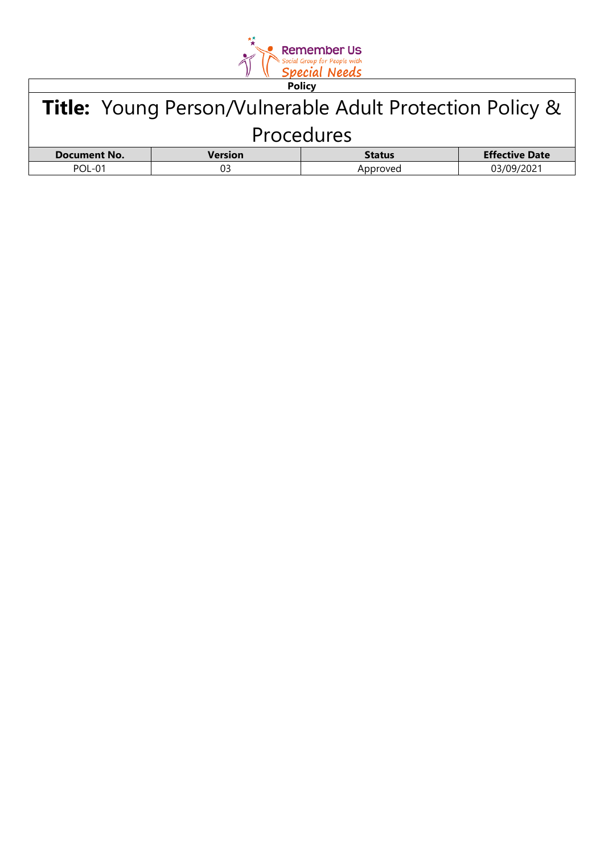

| <b>Title:</b> Young Person/Vulnerable Adult Protection Policy &                 |    |          |            |  |
|---------------------------------------------------------------------------------|----|----------|------------|--|
| <b>Procedures</b>                                                               |    |          |            |  |
| <b>Effective Date</b><br><b>Document No.</b><br><b>Version</b><br><b>Status</b> |    |          |            |  |
| <b>POL-01</b>                                                                   | 03 | Approved | 03/09/2021 |  |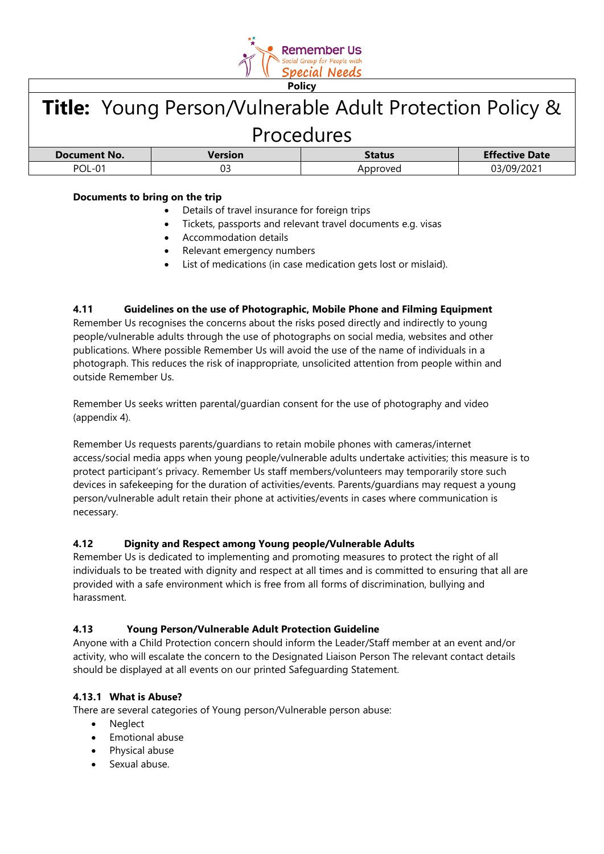

# **Title:** Young Person/Vulnerable Adult Protection Policy & Procedures

| Document No.   | Version | Status   | <b>Effective Date</b> |
|----------------|---------|----------|-----------------------|
| $\sim$<br>POL- | ບບ      | Approved | 09/2021/              |

#### **Documents to bring on the trip**

- Details of travel insurance for foreign trips
	- Tickets, passports and relevant travel documents e.g. visas
- Accommodation details
- Relevant emergency numbers
- List of medications (in case medication gets lost or mislaid).

#### **4.11 Guidelines on the use of Photographic, Mobile Phone and Filming Equipment**

Remember Us recognises the concerns about the risks posed directly and indirectly to young people/vulnerable adults through the use of photographs on social media, websites and other publications. Where possible Remember Us will avoid the use of the name of individuals in a photograph. This reduces the risk of inappropriate, unsolicited attention from people within and outside Remember Us.

Remember Us seeks written parental/guardian consent for the use of photography and video (appendix 4).

Remember Us requests parents/guardians to retain mobile phones with cameras/internet access/social media apps when young people/vulnerable adults undertake activities; this measure is to protect participant's privacy. Remember Us staff members/volunteers may temporarily store such devices in safekeeping for the duration of activities/events. Parents/guardians may request a young person/vulnerable adult retain their phone at activities/events in cases where communication is necessary.

#### **4.12 Dignity and Respect among Young people/Vulnerable Adults**

Remember Us is dedicated to implementing and promoting measures to protect the right of all individuals to be treated with dignity and respect at all times and is committed to ensuring that all are provided with a safe environment which is free from all forms of discrimination, bullying and harassment.

#### **4.13 Young Person/Vulnerable Adult Protection Guideline**

Anyone with a Child Protection concern should inform the Leader/Staff member at an event and/or activity, who will escalate the concern to the Designated Liaison Person The relevant contact details should be displayed at all events on our printed Safeguarding Statement.

#### **4.13.1 What is Abuse?**

There are several categories of Young person/Vulnerable person abuse:

- Neglect
- Emotional abuse
- Physical abuse
- Sexual abuse.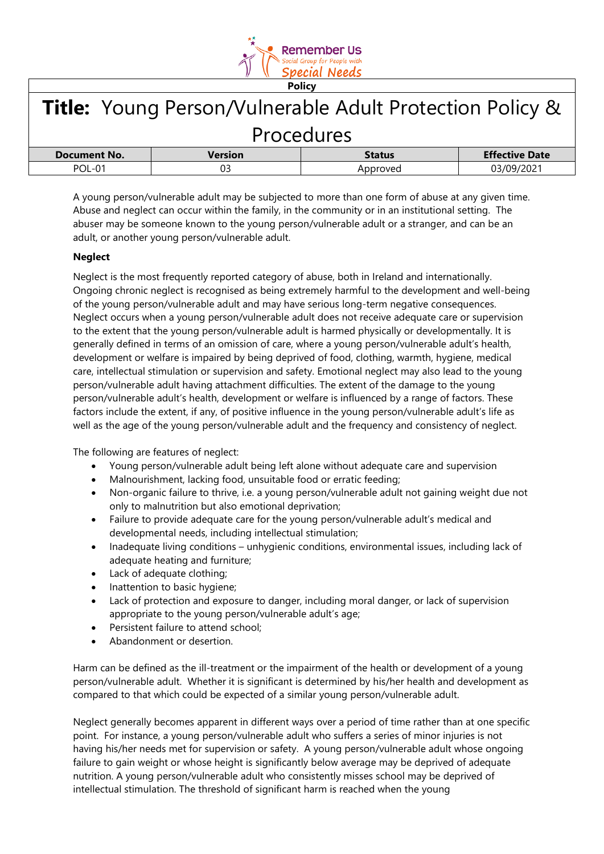

# **Title:** Young Person/Vulnerable Adult Protection Policy & Procedures

| Document No.                | Version  | Status | <b>Effective Date</b> |
|-----------------------------|----------|--------|-----------------------|
| POL<br>$\bigcap$ 1<br>$-11$ | n.<br>ັັ | proved | 10022<br>′∩പ<br>'202  |

A young person/vulnerable adult may be subjected to more than one form of abuse at any given time. Abuse and neglect can occur within the family, in the community or in an institutional setting. The abuser may be someone known to the young person/vulnerable adult or a stranger, and can be an adult, or another young person/vulnerable adult.

#### **Neglect**

Neglect is the most frequently reported category of abuse, both in Ireland and internationally. Ongoing chronic neglect is recognised as being extremely harmful to the development and well-being of the young person/vulnerable adult and may have serious long-term negative consequences. Neglect occurs when a young person/vulnerable adult does not receive adequate care or supervision to the extent that the young person/vulnerable adult is harmed physically or developmentally. It is generally defined in terms of an omission of care, where a young person/vulnerable adult's health, development or welfare is impaired by being deprived of food, clothing, warmth, hygiene, medical care, intellectual stimulation or supervision and safety. Emotional neglect may also lead to the young person/vulnerable adult having attachment difficulties. The extent of the damage to the young person/vulnerable adult's health, development or welfare is influenced by a range of factors. These factors include the extent, if any, of positive influence in the young person/vulnerable adult's life as well as the age of the young person/vulnerable adult and the frequency and consistency of neglect.

The following are features of neglect:

- Young person/vulnerable adult being left alone without adequate care and supervision
- Malnourishment, lacking food, unsuitable food or erratic feeding;
- Non-organic failure to thrive, i.e. a young person/vulnerable adult not gaining weight due not only to malnutrition but also emotional deprivation;
- Failure to provide adequate care for the young person/vulnerable adult's medical and developmental needs, including intellectual stimulation;
- Inadequate living conditions unhygienic conditions, environmental issues, including lack of adequate heating and furniture;
- Lack of adequate clothing;
- Inattention to basic hygiene;
- Lack of protection and exposure to danger, including moral danger, or lack of supervision appropriate to the young person/vulnerable adult's age;
- Persistent failure to attend school;
- Abandonment or desertion.

Harm can be defined as the ill-treatment or the impairment of the health or development of a young person/vulnerable adult. Whether it is significant is determined by his/her health and development as compared to that which could be expected of a similar young person/vulnerable adult.

Neglect generally becomes apparent in different ways over a period of time rather than at one specific point. For instance, a young person/vulnerable adult who suffers a series of minor injuries is not having his/her needs met for supervision or safety. A young person/vulnerable adult whose ongoing failure to gain weight or whose height is significantly below average may be deprived of adequate nutrition. A young person/vulnerable adult who consistently misses school may be deprived of intellectual stimulation. The threshold of significant harm is reached when the young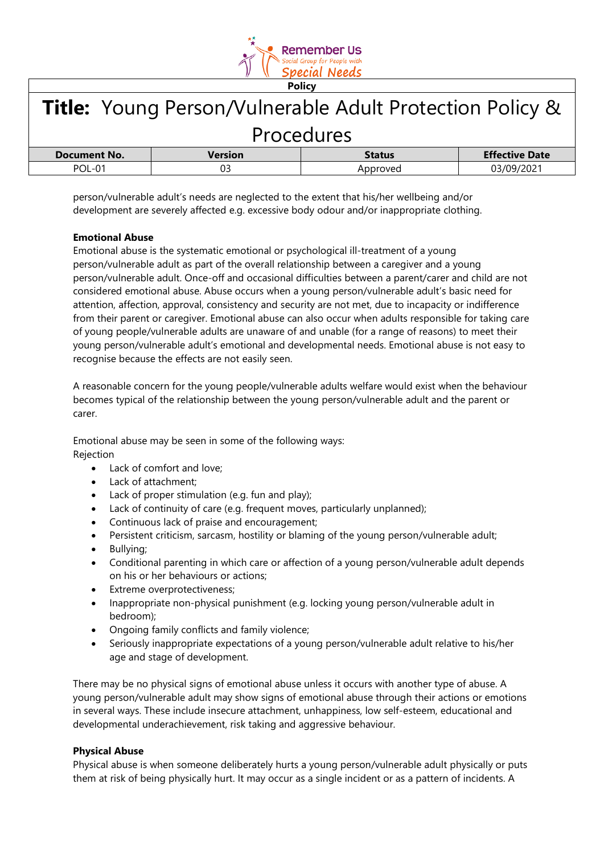

# **Title:** Young Person/Vulnerable Adult Protection Policy & Procedures

| Document No. | Version | Status | <b>Effective Date</b> |
|--------------|---------|--------|-----------------------|
| ורום         | n.      | nrovec | 12001                 |
| _ ∩ ∹        | ັ       |        | ، ۱∩۵                 |

person/vulnerable adult's needs are neglected to the extent that his/her wellbeing and/or development are severely affected e.g. excessive body odour and/or inappropriate clothing.

#### **Emotional Abuse**

Emotional abuse is the systematic emotional or psychological ill-treatment of a young person/vulnerable adult as part of the overall relationship between a caregiver and a young person/vulnerable adult. Once-off and occasional difficulties between a parent/carer and child are not considered emotional abuse. Abuse occurs when a young person/vulnerable adult's basic need for attention, affection, approval, consistency and security are not met, due to incapacity or indifference from their parent or caregiver. Emotional abuse can also occur when adults responsible for taking care of young people/vulnerable adults are unaware of and unable (for a range of reasons) to meet their young person/vulnerable adult's emotional and developmental needs. Emotional abuse is not easy to recognise because the effects are not easily seen.

A reasonable concern for the young people/vulnerable adults welfare would exist when the behaviour becomes typical of the relationship between the young person/vulnerable adult and the parent or carer.

Emotional abuse may be seen in some of the following ways: Rejection

- Lack of comfort and love;
- Lack of attachment;
- Lack of proper stimulation (e.g. fun and play);
- Lack of continuity of care (e.g. frequent moves, particularly unplanned);
- Continuous lack of praise and encouragement;
- Persistent criticism, sarcasm, hostility or blaming of the young person/vulnerable adult;
- Bullying;
- Conditional parenting in which care or affection of a young person/vulnerable adult depends on his or her behaviours or actions;
- Extreme overprotectiveness;
- Inappropriate non-physical punishment (e.g. locking young person/vulnerable adult in bedroom);
- Ongoing family conflicts and family violence;
- Seriously inappropriate expectations of a young person/vulnerable adult relative to his/her age and stage of development.

There may be no physical signs of emotional abuse unless it occurs with another type of abuse. A young person/vulnerable adult may show signs of emotional abuse through their actions or emotions in several ways. These include insecure attachment, unhappiness, low self-esteem, educational and developmental underachievement, risk taking and aggressive behaviour.

#### **Physical Abuse**

Physical abuse is when someone deliberately hurts a young person/vulnerable adult physically or puts them at risk of being physically hurt. It may occur as a single incident or as a pattern of incidents. A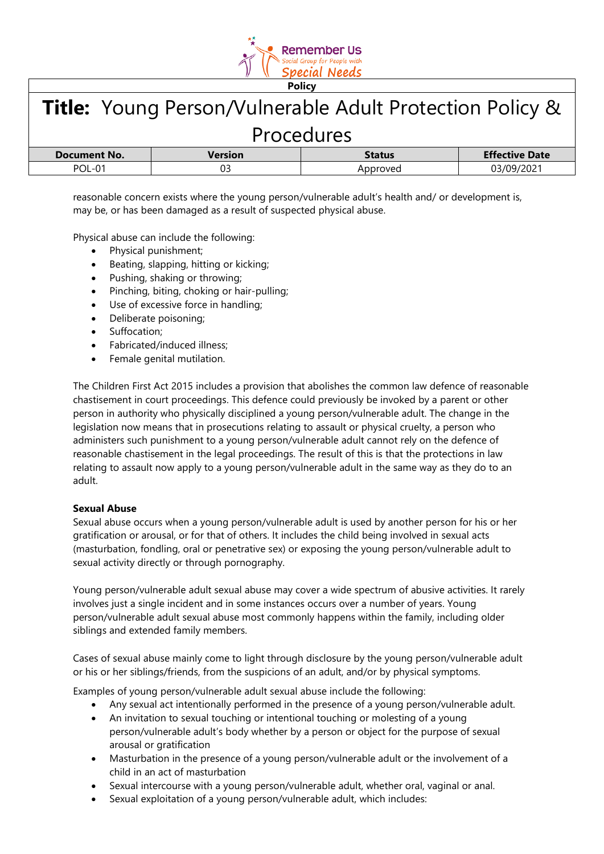

## **Title:** Young Person/Vulnerable Adult Protection Policy & Procedures

| <b>Document No.</b> | Version | Status   | <b>Effective Date</b> |
|---------------------|---------|----------|-----------------------|
| <b>POL-01</b>       | UJ      | \pproved | 03/09/2021            |

reasonable concern exists where the young person/vulnerable adult's health and/ or development is, may be, or has been damaged as a result of suspected physical abuse.

Physical abuse can include the following:

- Physical punishment;
- Beating, slapping, hitting or kicking;
- Pushing, shaking or throwing;
- Pinching, biting, choking or hair-pulling;
- Use of excessive force in handling;
- Deliberate poisoning;
- Suffocation;
- Fabricated/induced illness;
- Female genital mutilation.

The Children First Act 2015 includes a provision that abolishes the common law defence of reasonable chastisement in court proceedings. This defence could previously be invoked by a parent or other person in authority who physically disciplined a young person/vulnerable adult. The change in the legislation now means that in prosecutions relating to assault or physical cruelty, a person who administers such punishment to a young person/vulnerable adult cannot rely on the defence of reasonable chastisement in the legal proceedings. The result of this is that the protections in law relating to assault now apply to a young person/vulnerable adult in the same way as they do to an adult.

#### **Sexual Abuse**

Sexual abuse occurs when a young person/vulnerable adult is used by another person for his or her gratification or arousal, or for that of others. It includes the child being involved in sexual acts (masturbation, fondling, oral or penetrative sex) or exposing the young person/vulnerable adult to sexual activity directly or through pornography.

Young person/vulnerable adult sexual abuse may cover a wide spectrum of abusive activities. It rarely involves just a single incident and in some instances occurs over a number of years. Young person/vulnerable adult sexual abuse most commonly happens within the family, including older siblings and extended family members.

Cases of sexual abuse mainly come to light through disclosure by the young person/vulnerable adult or his or her siblings/friends, from the suspicions of an adult, and/or by physical symptoms.

Examples of young person/vulnerable adult sexual abuse include the following:

- Any sexual act intentionally performed in the presence of a young person/vulnerable adult.
- An invitation to sexual touching or intentional touching or molesting of a young person/vulnerable adult's body whether by a person or object for the purpose of sexual arousal or gratification
- Masturbation in the presence of a young person/vulnerable adult or the involvement of a child in an act of masturbation
- Sexual intercourse with a young person/vulnerable adult, whether oral, vaginal or anal.
- Sexual exploitation of a young person/vulnerable adult, which includes: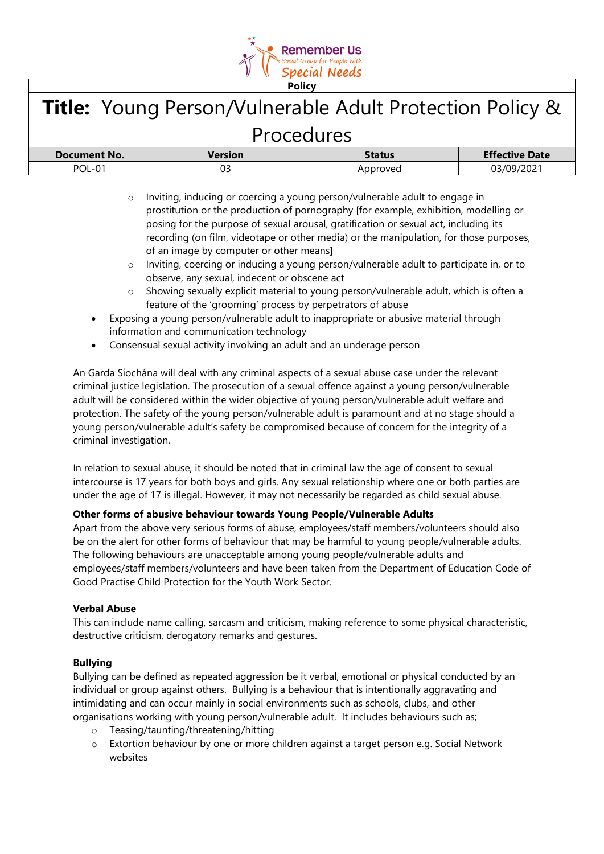

### **Title:** Young Person/Vulnerable Adult Protection Policy & Procedures

| Document No. | Version | Status  | <b>Effective Date</b> |
|--------------|---------|---------|-----------------------|
| POL<br>-01   | ບປ      | pproved | MQ/2021<br>202'       |

- o Inviting, inducing or coercing a young person/vulnerable adult to engage in prostitution or the production of pornography [for example, exhibition, modelling or posing for the purpose of sexual arousal, gratification or sexual act, including its recording (on film, videotape or other media) or the manipulation, for those purposes, of an image by computer or other means]
- o Inviting, coercing or inducing a young person/vulnerable adult to participate in, or to observe, any sexual, indecent or obscene act
- o Showing sexually explicit material to young person/vulnerable adult, which is often a feature of the 'grooming' process by perpetrators of abuse
- Exposing a young person/vulnerable adult to inappropriate or abusive material through information and communication technology
- Consensual sexual activity involving an adult and an underage person

An Garda Síochána will deal with any criminal aspects of a sexual abuse case under the relevant criminal justice legislation. The prosecution of a sexual offence against a young person/vulnerable adult will be considered within the wider objective of young person/vulnerable adult welfare and protection. The safety of the young person/vulnerable adult is paramount and at no stage should a young person/vulnerable adult's safety be compromised because of concern for the integrity of a criminal investigation.

In relation to sexual abuse, it should be noted that in criminal law the age of consent to sexual intercourse is 17 years for both boys and girls. Any sexual relationship where one or both parties are under the age of 17 is illegal. However, it may not necessarily be regarded as child sexual abuse.

#### **Other forms of abusive behaviour towards Young People/Vulnerable Adults**

Apart from the above very serious forms of abuse, employees/staff members/volunteers should also be on the alert for other forms of behaviour that may be harmful to young people/vulnerable adults. The following behaviours are unacceptable among young people/vulnerable adults and employees/staff members/volunteers and have been taken from the Department of Education Code of Good Practise Child Protection for the Youth Work Sector.

#### **Verbal Abuse**

This can include name calling, sarcasm and criticism, making reference to some physical characteristic, destructive criticism, derogatory remarks and gestures.

#### **Bullying**

Bullying can be defined as repeated aggression be it verbal, emotional or physical conducted by an individual or group against others. Bullying is a behaviour that is intentionally aggravating and intimidating and can occur mainly in social environments such as schools, clubs, and other organisations working with young person/vulnerable adult. It includes behaviours such as;

- o Teasing/taunting/threatening/hitting
- o Extortion behaviour by one or more children against a target person e.g. Social Network websites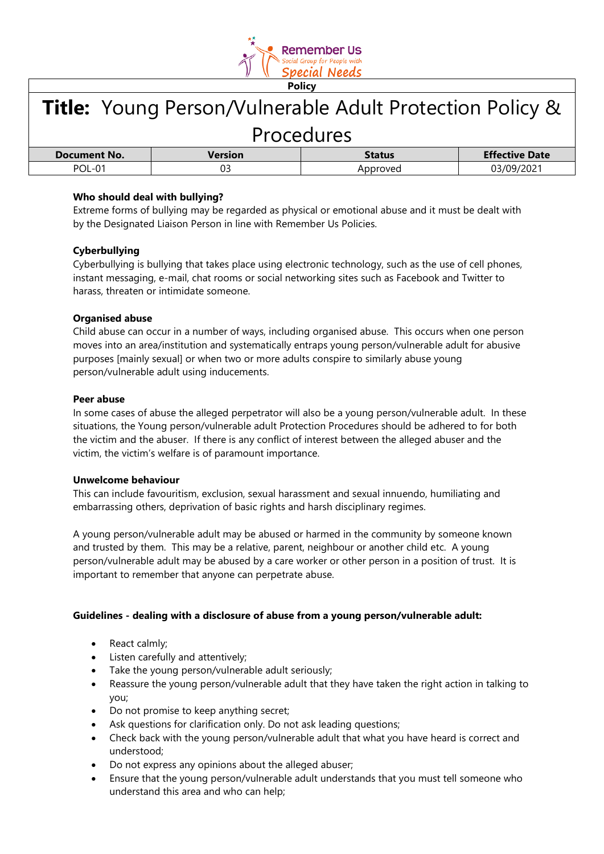

### **Title:** Young Person/Vulnerable Adult Protection Policy & Procedures **Document No.**  $\begin{array}{|c|c|c|c|c|}\n\hline\n\end{array}$  **Version**  $\begin{array}{|c|c|c|c|c|}\n\hline\n\end{array}$  **Status**  $\begin{array}{|c|c|c|c|c|}\n\hline\n\end{array}$  **Effective Date**

POL-01 03 Approved 03/09/2021

#### **Who should deal with bullying?**

Extreme forms of bullying may be regarded as physical or emotional abuse and it must be dealt with by the Designated Liaison Person in line with Remember Us Policies.

#### **Cyberbullying**

Cyberbullying is bullying that takes place using electronic technology, such as the use of cell phones, instant messaging, e-mail, chat rooms or social networking sites such as Facebook and Twitter to harass, threaten or intimidate someone.

#### **Organised abuse**

Child abuse can occur in a number of ways, including organised abuse. This occurs when one person moves into an area/institution and systematically entraps young person/vulnerable adult for abusive purposes [mainly sexual] or when two or more adults conspire to similarly abuse young person/vulnerable adult using inducements.

#### **Peer abuse**

In some cases of abuse the alleged perpetrator will also be a young person/vulnerable adult. In these situations, the Young person/vulnerable adult Protection Procedures should be adhered to for both the victim and the abuser. If there is any conflict of interest between the alleged abuser and the victim, the victim's welfare is of paramount importance.

#### **Unwelcome behaviour**

This can include favouritism, exclusion, sexual harassment and sexual innuendo, humiliating and embarrassing others, deprivation of basic rights and harsh disciplinary regimes.

A young person/vulnerable adult may be abused or harmed in the community by someone known and trusted by them. This may be a relative, parent, neighbour or another child etc. A young person/vulnerable adult may be abused by a care worker or other person in a position of trust. It is important to remember that anyone can perpetrate abuse.

#### **Guidelines - dealing with a disclosure of abuse from a young person/vulnerable adult:**

- React calmly;
- Listen carefully and attentively;
- Take the young person/vulnerable adult seriously;
- Reassure the young person/vulnerable adult that they have taken the right action in talking to you;
- Do not promise to keep anything secret;
- Ask questions for clarification only. Do not ask leading questions;
- Check back with the young person/vulnerable adult that what you have heard is correct and understood;
- Do not express any opinions about the alleged abuser;
- Ensure that the young person/vulnerable adult understands that you must tell someone who understand this area and who can help;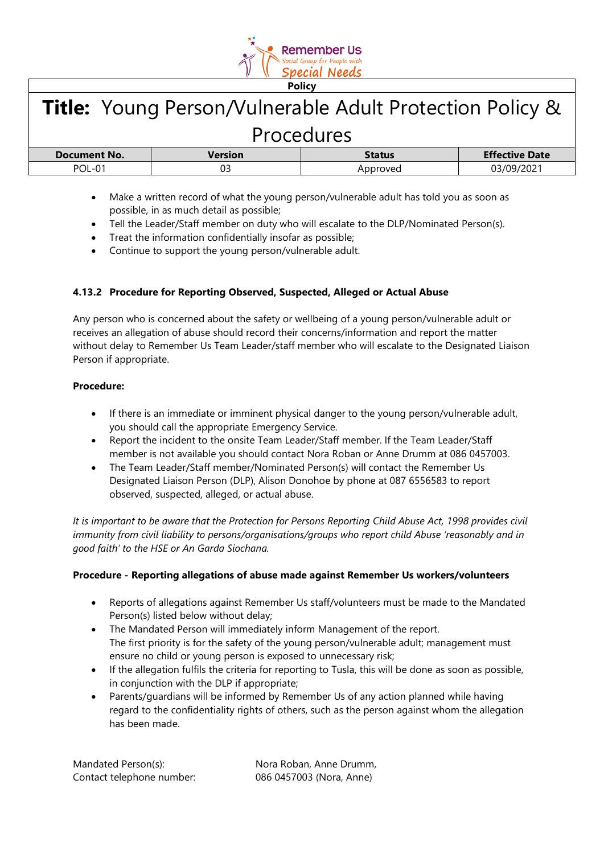

## **Title:** Young Person/Vulnerable Adult Protection Policy & Procedures

| Document No.    | Version | itatus  | <b>Effective Date</b> |
|-----------------|---------|---------|-----------------------|
| $\sim$<br>POL-u | ັັ      | pproved | 03/09/2021            |

- Make a written record of what the young person/vulnerable adult has told you as soon as possible, in as much detail as possible;
- Tell the Leader/Staff member on duty who will escalate to the DLP/Nominated Person(s).
- Treat the information confidentially insofar as possible;
- Continue to support the young person/vulnerable adult.

#### **4.13.2 Procedure for Reporting Observed, Suspected, Alleged or Actual Abuse**

Any person who is concerned about the safety or wellbeing of a young person/vulnerable adult or receives an allegation of abuse should record their concerns/information and report the matter without delay to Remember Us Team Leader/staff member who will escalate to the Designated Liaison Person if appropriate.

#### **Procedure:**

- If there is an immediate or imminent physical danger to the young person/vulnerable adult, you should call the appropriate Emergency Service.
- Report the incident to the onsite Team Leader/Staff member. If the Team Leader/Staff member is not available you should contact Nora Roban or Anne Drumm at 086 0457003.
- The Team Leader/Staff member/Nominated Person(s) will contact the Remember Us Designated Liaison Person (DLP), Alison Donohoe by phone at 087 6556583 to report observed, suspected, alleged, or actual abuse.

*It is important to be aware that the Protection for Persons Reporting Child Abuse Act, 1998 provides civil immunity from civil liability to persons/organisations/groups who report child Abuse 'reasonably and in good faith' to the HSE or An Garda Siochana.*

#### **Procedure - Reporting allegations of abuse made against Remember Us workers/volunteers**

- Reports of allegations against Remember Us staff/volunteers must be made to the Mandated Person(s) listed below without delay;
- The Mandated Person will immediately inform Management of the report. The first priority is for the safety of the young person/vulnerable adult; management must ensure no child or young person is exposed to unnecessary risk;
- If the allegation fulfils the criteria for reporting to Tusla, this will be done as soon as possible, in conjunction with the DLP if appropriate;
- Parents/guardians will be informed by Remember Us of any action planned while having regard to the confidentiality rights of others, such as the person against whom the allegation has been made.

Contact telephone number: 086 0457003 (Nora, Anne)

Mandated Person(s): Nora Roban, Anne Drumm,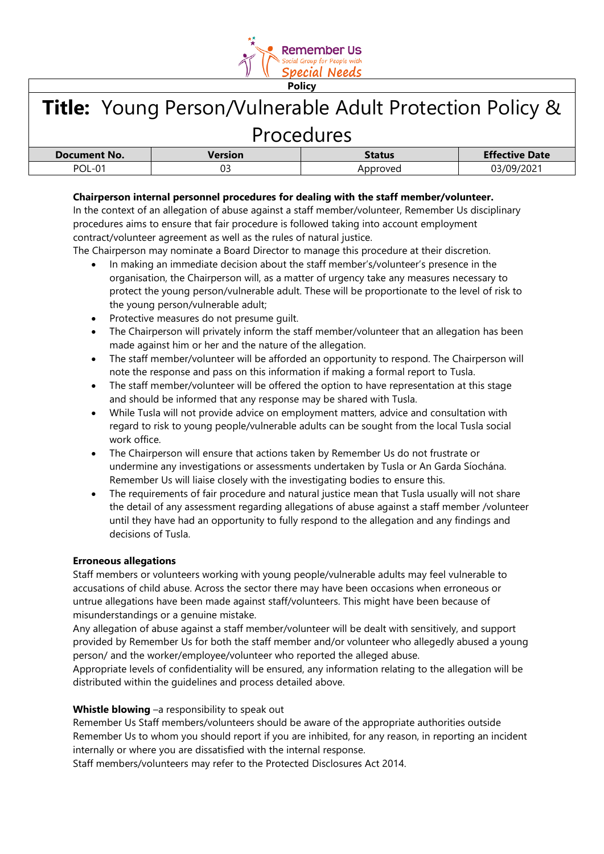

## **Title:** Young Person/Vulnerable Adult Protection Policy & Procedures

| Document No.  | Version  | Status   | <b>Effective Date</b> |
|---------------|----------|----------|-----------------------|
| <b>POL-01</b> | n.<br>ັັ | Approved | 3/09/2021             |

#### **Chairperson internal personnel procedures for dealing with the staff member/volunteer.**

In the context of an allegation of abuse against a staff member/volunteer, Remember Us disciplinary procedures aims to ensure that fair procedure is followed taking into account employment contract/volunteer agreement as well as the rules of natural justice.

The Chairperson may nominate a Board Director to manage this procedure at their discretion.

- In making an immediate decision about the staff member's/volunteer's presence in the organisation, the Chairperson will, as a matter of urgency take any measures necessary to protect the young person/vulnerable adult. These will be proportionate to the level of risk to the young person/vulnerable adult;
- Protective measures do not presume guilt.
- The Chairperson will privately inform the staff member/volunteer that an allegation has been made against him or her and the nature of the allegation.
- The staff member/volunteer will be afforded an opportunity to respond. The Chairperson will note the response and pass on this information if making a formal report to Tusla.
- The staff member/volunteer will be offered the option to have representation at this stage and should be informed that any response may be shared with Tusla.
- While Tusla will not provide advice on employment matters, advice and consultation with regard to risk to young people/vulnerable adults can be sought from the local Tusla social work office.
- The Chairperson will ensure that actions taken by Remember Us do not frustrate or undermine any investigations or assessments undertaken by Tusla or An Garda Síochána. Remember Us will liaise closely with the investigating bodies to ensure this.
- The requirements of fair procedure and natural justice mean that Tusla usually will not share the detail of any assessment regarding allegations of abuse against a staff member /volunteer until they have had an opportunity to fully respond to the allegation and any findings and decisions of Tusla.

#### **Erroneous allegations**

Staff members or volunteers working with young people/vulnerable adults may feel vulnerable to accusations of child abuse. Across the sector there may have been occasions when erroneous or untrue allegations have been made against staff/volunteers. This might have been because of misunderstandings or a genuine mistake.

Any allegation of abuse against a staff member/volunteer will be dealt with sensitively, and support provided by Remember Us for both the staff member and/or volunteer who allegedly abused a young person/ and the worker/employee/volunteer who reported the alleged abuse.

Appropriate levels of confidentiality will be ensured, any information relating to the allegation will be distributed within the guidelines and process detailed above.

#### Whistle **blowing** –a responsibility to speak out

Remember Us Staff members/volunteers should be aware of the appropriate authorities outside Remember Us to whom you should report if you are inhibited, for any reason, in reporting an incident internally or where you are dissatisfied with the internal response.

Staff members/volunteers may refer to the Protected Disclosures Act 2014.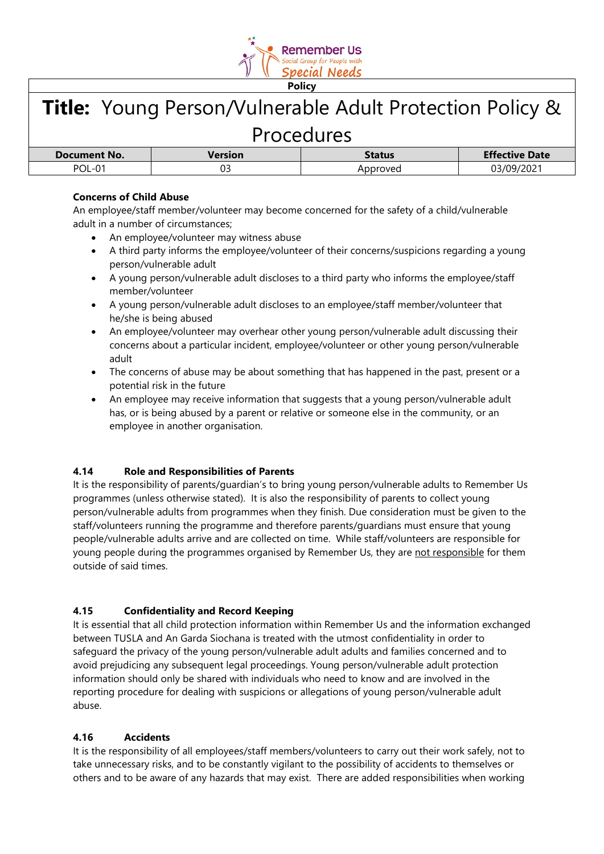

## **Title:** Young Person/Vulnerable Adult Protection Policy & Procedures

| <b>Document No.</b>         | <b>Version</b> | Status   | <b>Effective Date</b> |
|-----------------------------|----------------|----------|-----------------------|
| $^{\circ}$<br>ורום<br>∴∪L∹⊑ | ∩.<br>UJ       | Approved | 03/09/2021            |

#### **Concerns of Child Abuse**

An employee/staff member/volunteer may become concerned for the safety of a child/vulnerable adult in a number of circumstances;

- An employee/volunteer may witness abuse
- A third party informs the employee/volunteer of their concerns/suspicions regarding a young person/vulnerable adult
- A young person/vulnerable adult discloses to a third party who informs the employee/staff member/volunteer
- A young person/vulnerable adult discloses to an employee/staff member/volunteer that he/she is being abused
- An employee/volunteer may overhear other young person/vulnerable adult discussing their concerns about a particular incident, employee/volunteer or other young person/vulnerable adult
- The concerns of abuse may be about something that has happened in the past, present or a potential risk in the future
- An employee may receive information that suggests that a young person/vulnerable adult has, or is being abused by a parent or relative or someone else in the community, or an employee in another organisation.

#### **4.14 Role and Responsibilities of Parents**

It is the responsibility of parents/guardian's to bring young person/vulnerable adults to Remember Us programmes (unless otherwise stated). It is also the responsibility of parents to collect young person/vulnerable adults from programmes when they finish. Due consideration must be given to the staff/volunteers running the programme and therefore parents/guardians must ensure that young people/vulnerable adults arrive and are collected on time. While staff/volunteers are responsible for young people during the programmes organised by Remember Us, they are not responsible for them outside of said times.

#### **4.15 Confidentiality and Record Keeping**

It is essential that all child protection information within Remember Us and the information exchanged between TUSLA and An Garda Siochana is treated with the utmost confidentiality in order to safeguard the privacy of the young person/vulnerable adult adults and families concerned and to avoid prejudicing any subsequent legal proceedings. Young person/vulnerable adult protection information should only be shared with individuals who need to know and are involved in the reporting procedure for dealing with suspicions or allegations of young person/vulnerable adult abuse.

#### **4.16 Accidents**

It is the responsibility of all employees/staff members/volunteers to carry out their work safely, not to take unnecessary risks, and to be constantly vigilant to the possibility of accidents to themselves or others and to be aware of any hazards that may exist. There are added responsibilities when working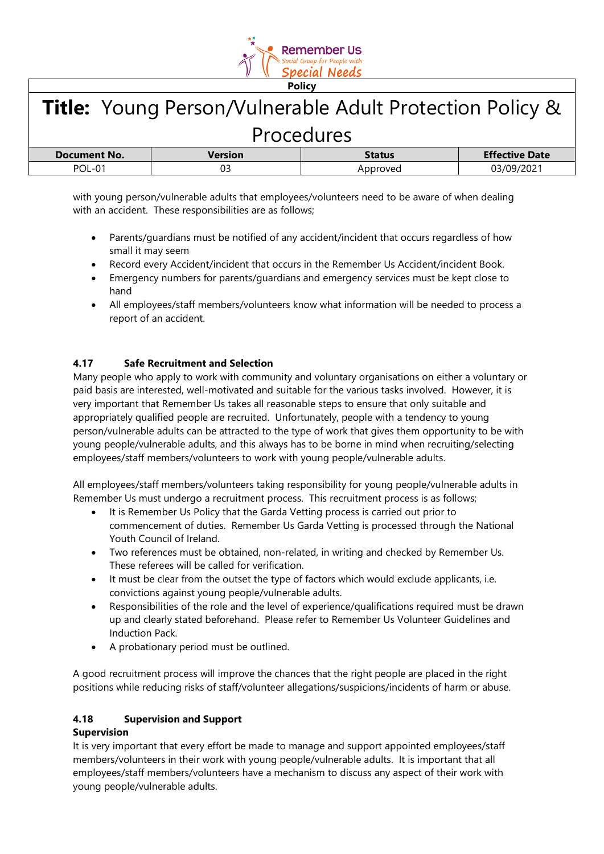

## **Title:** Young Person/Vulnerable Adult Protection Policy & Procedures

| Document No.    | Version | Status   | <b>Effective Date</b> |
|-----------------|---------|----------|-----------------------|
| POL-u<br>$\sim$ | υ.      | \pproved | /2021<br>109          |

with young person/vulnerable adults that employees/volunteers need to be aware of when dealing with an accident. These responsibilities are as follows;

- Parents/guardians must be notified of any accident/incident that occurs regardless of how small it may seem
- Record every Accident/incident that occurs in the Remember Us Accident/incident Book.
- Emergency numbers for parents/guardians and emergency services must be kept close to hand
- All employees/staff members/volunteers know what information will be needed to process a report of an accident.

#### **4.17 Safe Recruitment and Selection**

Many people who apply to work with community and voluntary organisations on either a voluntary or paid basis are interested, well-motivated and suitable for the various tasks involved. However, it is very important that Remember Us takes all reasonable steps to ensure that only suitable and appropriately qualified people are recruited. Unfortunately, people with a tendency to young person/vulnerable adults can be attracted to the type of work that gives them opportunity to be with young people/vulnerable adults, and this always has to be borne in mind when recruiting/selecting employees/staff members/volunteers to work with young people/vulnerable adults.

All employees/staff members/volunteers taking responsibility for young people/vulnerable adults in Remember Us must undergo a recruitment process. This recruitment process is as follows;

- It is Remember Us Policy that the Garda Vetting process is carried out prior to commencement of duties. Remember Us Garda Vetting is processed through the National Youth Council of Ireland.
- Two references must be obtained, non-related, in writing and checked by Remember Us. These referees will be called for verification.
- It must be clear from the outset the type of factors which would exclude applicants, i.e. convictions against young people/vulnerable adults.
- Responsibilities of the role and the level of experience/qualifications required must be drawn up and clearly stated beforehand. Please refer to Remember Us Volunteer Guidelines and Induction Pack.
- A probationary period must be outlined.

A good recruitment process will improve the chances that the right people are placed in the right positions while reducing risks of staff/volunteer allegations/suspicions/incidents of harm or abuse.

#### **4.18 Supervision and Support**

#### **Supervision**

It is very important that every effort be made to manage and support appointed employees/staff members/volunteers in their work with young people/vulnerable adults. It is important that all employees/staff members/volunteers have a mechanism to discuss any aspect of their work with young people/vulnerable adults.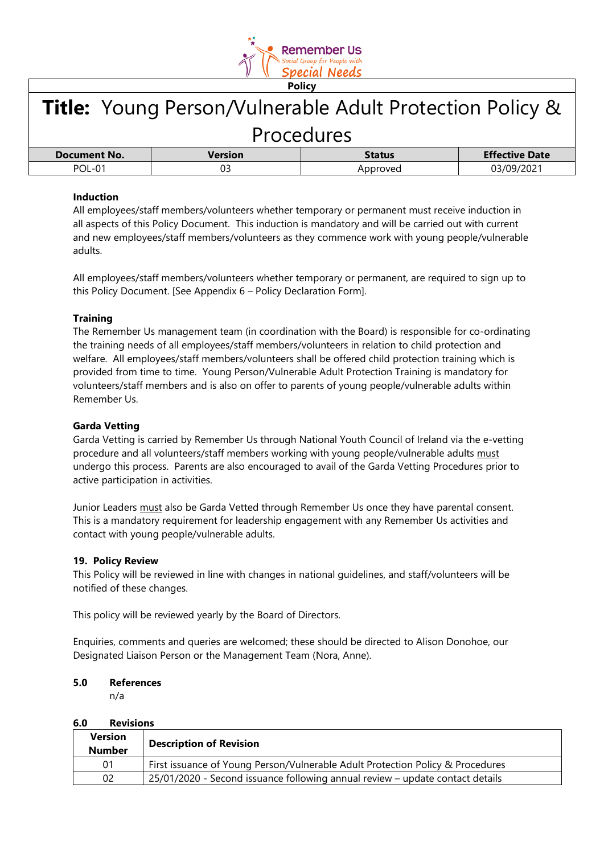

# **Title:** Young Person/Vulnerable Adult Protection Policy & Procedures

| <b>Document No.</b> | Version | Status   | <b>Effective Date</b> |
|---------------------|---------|----------|-----------------------|
| POL<br>$\sim$       | 03      | Approved | 03/09/2021            |

#### **Induction**

All employees/staff members/volunteers whether temporary or permanent must receive induction in all aspects of this Policy Document. This induction is mandatory and will be carried out with current and new employees/staff members/volunteers as they commence work with young people/vulnerable adults.

All employees/staff members/volunteers whether temporary or permanent, are required to sign up to this Policy Document. [See Appendix 6 – Policy Declaration Form].

#### **Training**

The Remember Us management team (in coordination with the Board) is responsible for co-ordinating the training needs of all employees/staff members/volunteers in relation to child protection and welfare. All employees/staff members/volunteers shall be offered child protection training which is provided from time to time. Young Person/Vulnerable Adult Protection Training is mandatory for volunteers/staff members and is also on offer to parents of young people/vulnerable adults within Remember Us.

#### **Garda Vetting**

Garda Vetting is carried by Remember Us through National Youth Council of Ireland via the e-vetting procedure and all volunteers/staff members working with young people/vulnerable adults must undergo this process. Parents are also encouraged to avail of the Garda Vetting Procedures prior to active participation in activities.

Junior Leaders must also be Garda Vetted through Remember Us once they have parental consent. This is a mandatory requirement for leadership engagement with any Remember Us activities and contact with young people/vulnerable adults.

#### **19. Policy Review**

This Policy will be reviewed in line with changes in national guidelines, and staff/volunteers will be notified of these changes.

This policy will be reviewed yearly by the Board of Directors.

Enquiries, comments and queries are welcomed; these should be directed to Alison Donohoe, our Designated Liaison Person or the Management Team (Nora, Anne).

#### **5.0 References**

n/a

| v.v<br>REVISIUIIS        |                                                                                |
|--------------------------|--------------------------------------------------------------------------------|
| Version<br><b>Number</b> | <b>Description of Revision</b>                                                 |
| 01                       | First issuance of Young Person/Vulnerable Adult Protection Policy & Procedures |
| 02                       | 25/01/2020 - Second issuance following annual review - update contact details  |

#### **6.0 Revisions**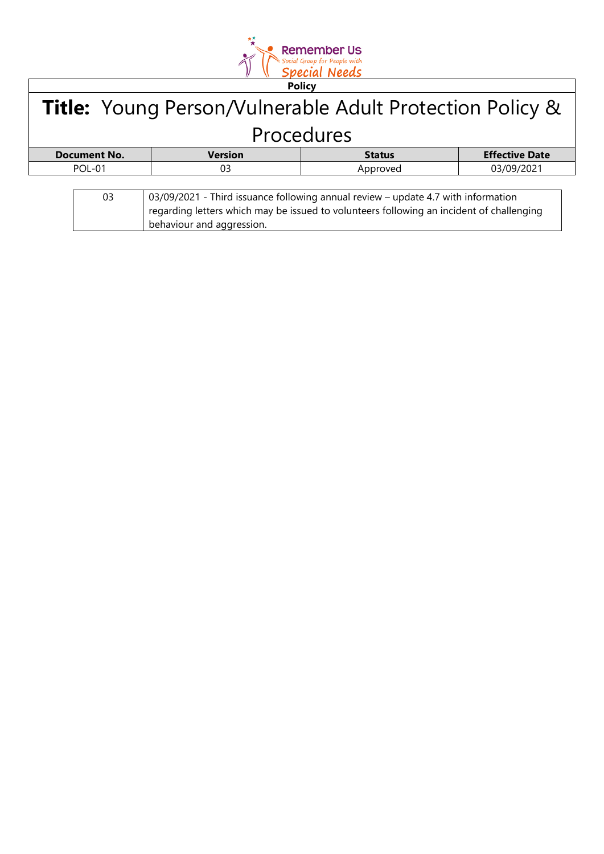

### **Title:** Young Person/Vulnerable Adult Protection Policy & Procedures **Document No. Version Status Effective Date** POL-01 03 Approved 03/09/2021

| 03 | 03/09/2021 - Third issuance following annual review – update 4.7 with information        |
|----|------------------------------------------------------------------------------------------|
|    | regarding letters which may be issued to volunteers following an incident of challenging |
|    | behaviour and aggression.                                                                |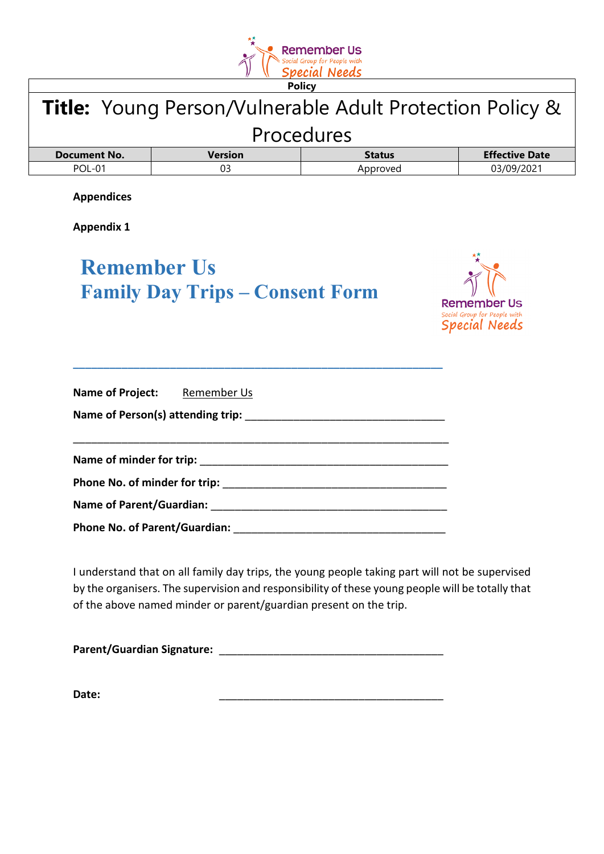

### **Title:** Young Person/Vulnerable Adult Protection Policy & Procedures **Document No.**  $\begin{array}{|c|c|c|c|c|}\n\hline\n\end{array}$  **Version**  $\begin{array}{|c|c|c|c|c|}\n\hline\n\end{array}$  **Status**  $\begin{array}{|c|c|c|c|c|}\n\hline\n\end{array}$  **Effective Date** POL-01 03 Approved 03/09/2021

**Appendices**

**Appendix 1**

### **Remember Us Family Day Trips – Consent Form**



| <b>Name of Project:</b> | Remember Us |
|-------------------------|-------------|
|                         |             |

**Name of Person(s) attending trip:** \_\_\_\_\_\_\_\_\_\_\_\_\_\_\_\_\_\_\_\_\_\_\_\_\_\_\_\_\_\_\_\_\_

\_\_\_\_\_\_\_\_\_\_\_\_\_\_\_\_\_\_\_\_\_\_\_\_\_\_\_\_\_\_\_\_\_\_\_\_\_\_\_\_\_\_\_\_\_\_\_\_\_\_\_\_\_\_\_\_\_\_\_\_\_\_

**\_\_\_\_\_\_\_\_\_\_\_\_\_\_\_\_\_\_\_\_\_\_\_\_\_\_\_\_\_\_\_\_\_\_\_\_\_\_\_\_\_\_\_\_\_\_\_\_\_\_\_\_\_\_\_\_\_\_\_\_\_**

Phone No. of minder for trip: **We are all that the set of the set of the set of the set of the set of the set of the set of the set of the set of the set of the set of the set of the set of the set of the set of the set of** 

Name of Parent/Guardian:

**Phone No. of Parent/Guardian:** \_\_\_\_\_\_\_\_\_\_\_\_\_\_\_\_\_\_\_\_\_\_\_\_\_\_\_\_\_\_\_\_\_\_\_

I understand that on all family day trips, the young people taking part will not be supervised by the organisers. The supervision and responsibility of these young people will be totally that of the above named minder or parent/guardian present on the trip.

Parent/Guardian Signature:

**Date:** \_\_\_\_\_\_\_\_\_\_\_\_\_\_\_\_\_\_\_\_\_\_\_\_\_\_\_\_\_\_\_\_\_\_\_\_\_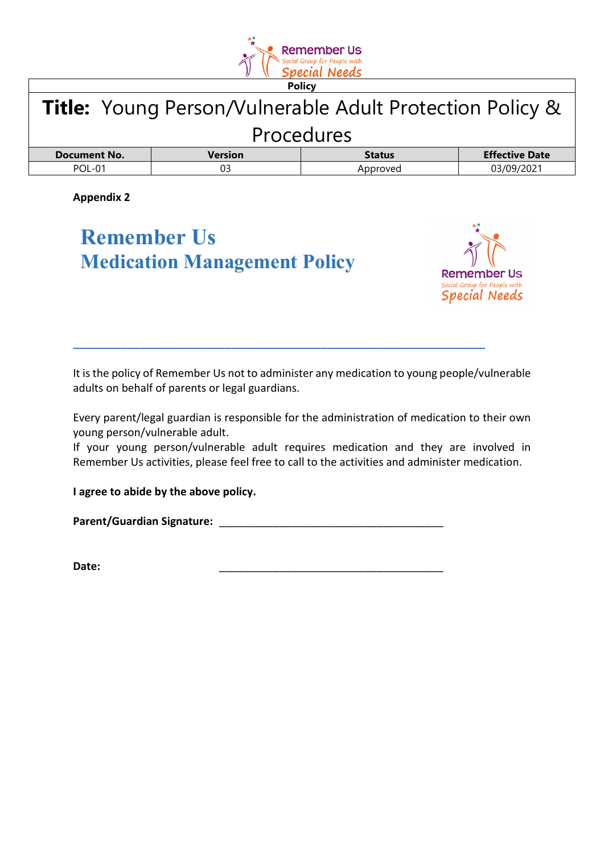

### **Title:** Young Person/Vulnerable Adult Protection Policy & Procedures **Document No.**  $\begin{array}{|c|c|c|c|c|}\n\hline\n\end{array}$  **Version**  $\begin{array}{|c|c|c|c|c|}\n\hline\n\end{array}$  **Status**  $\begin{array}{|c|c|c|c|c|}\n\hline\n\end{array}$  **Effective Date** POL-01 03 Approved 03/09/2021

**Appendix 2**

### **Remember Us Medication Management Policy**



It is the policy of Remember Us not to administer any medication to young people/vulnerable adults on behalf of parents or legal guardians.

**\_\_\_\_\_\_\_\_\_\_\_\_\_\_\_\_\_\_\_\_\_\_\_\_\_\_\_\_\_\_\_\_\_\_\_\_\_\_\_\_\_\_\_\_\_\_\_\_\_\_\_\_\_\_\_\_\_\_\_\_\_\_\_\_\_\_\_\_**

Every parent/legal guardian is responsible for the administration of medication to their own young person/vulnerable adult.

If your young person/vulnerable adult requires medication and they are involved in Remember Us activities, please feel free to call to the activities and administer medication.

**I agree to abide by the above policy.**

Parent/Guardian Signature:

**Date:** \_\_\_\_\_\_\_\_\_\_\_\_\_\_\_\_\_\_\_\_\_\_\_\_\_\_\_\_\_\_\_\_\_\_\_\_\_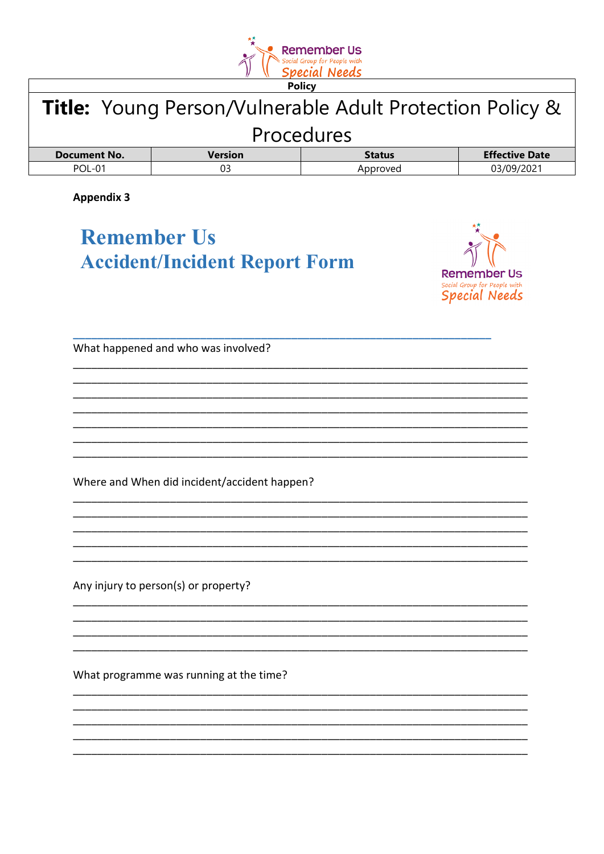

#### Title: Young Person/Vulnerable Adult Protection Policy & Procedures **Document No. Version Status Effective Date POL-01** 03 03/09/2021 Approved

**Appendix 3** 

## **Remember Us Accident/Incident Report Form**



What happened and who was involved?

Where and When did incident/accident happen?

Any injury to person(s) or property?

What programme was running at the time?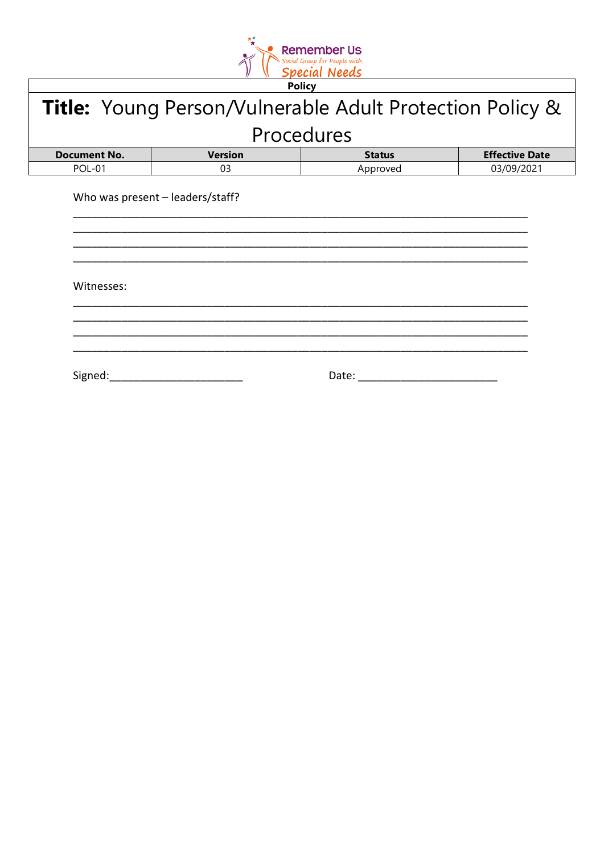

### Title: Young Person/Vulnerable Adult Protection Policy & Procedures **Document No.** Version **Effective Date Status POL-01** 03 03/09/2021 Approved Who was present - leaders/staff? Witnesses: Signed: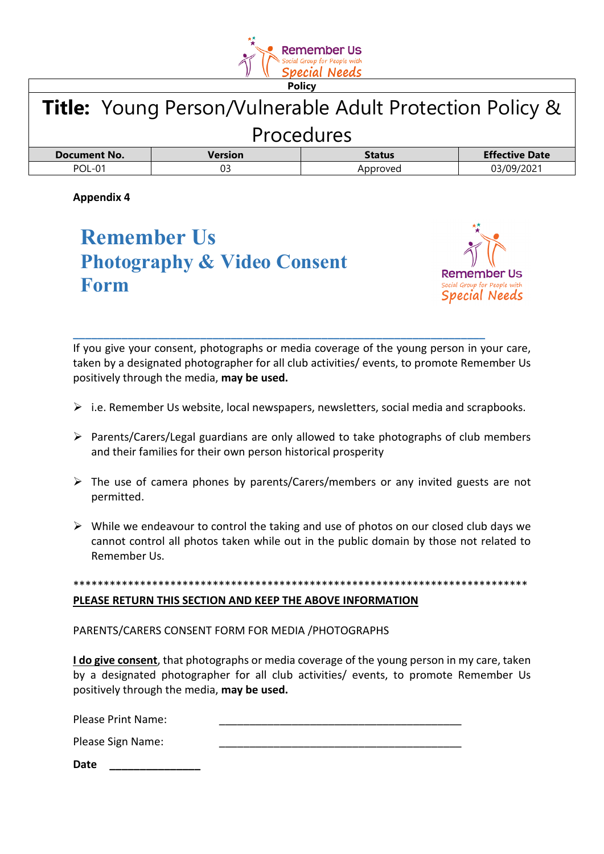

### **Title:** Young Person/Vulnerable Adult Protection Policy & Procedures **Document No.**  $\begin{array}{|c|c|c|c|c|}\n\hline\n\end{array}$  **Version**  $\begin{array}{|c|c|c|c|c|}\n\hline\n\end{array}$  **Status**  $\begin{array}{|c|c|c|c|c|}\n\hline\n\end{array}$  **Effective Date** POL-01 03 Approved 03/09/2021

**Appendix 4**

### **Remember Us Photography & Video Consent Form**



If you give your consent, photographs or media coverage of the young person in your care, taken by a designated photographer for all club activities/ events, to promote Remember Us positively through the media, **may be used.**

**\_\_\_\_\_\_\_\_\_\_\_\_\_\_\_\_\_\_\_\_\_\_\_\_\_\_\_\_\_\_\_\_\_\_\_\_\_\_\_\_\_\_\_\_\_\_\_\_\_\_\_\_\_\_\_\_\_\_\_\_\_\_\_\_\_\_\_\_**

- $\triangleright$  i.e. Remember Us website, local newspapers, newsletters, social media and scrapbooks.
- Parents/Carers/Legal guardians are only allowed to take photographs of club members and their families for their own person historical prosperity
- $\triangleright$  The use of camera phones by parents/Carers/members or any invited guests are not permitted.
- $\triangleright$  While we endeavour to control the taking and use of photos on our closed club days we cannot control all photos taken while out in the public domain by those not related to Remember Us.

\*\*\*\*\*\*\*\*\*\*\*\*\*\*\*\*\*\*\*\*\*\*\*\*\*\*\*\*\*\*\*\*\*\*\*\*\*\*\*\*\*\*\*\*\*\*\*\*\*\*\*\*\*\*\*\*\*\*\*\*\*\*\*\*\*\*\*\*\*\*\*\*\*\*\*

#### **PLEASE RETURN THIS SECTION AND KEEP THE ABOVE INFORMATION**

#### PARENTS/CARERS CONSENT FORM FOR MEDIA /PHOTOGRAPHS

**I do give consent**, that photographs or media coverage of the young person in my care, taken by a designated photographer for all club activities/ events, to promote Remember Us positively through the media, **may be used.**

Please Print Name:

| Please Sign Name: |  |
|-------------------|--|
|                   |  |

| Date |  |  |  |  |
|------|--|--|--|--|
|      |  |  |  |  |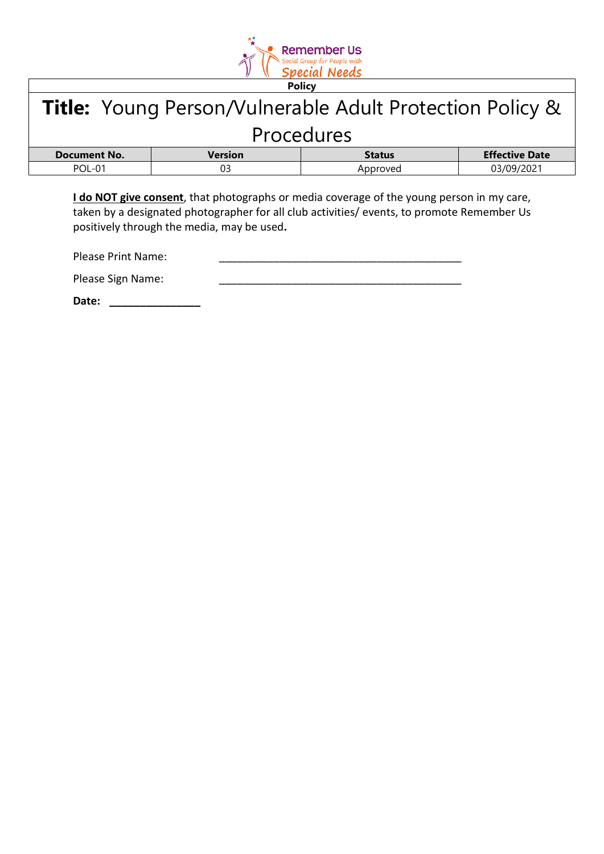

### **Title:** Young Person/Vulnerable Adult Protection Policy & Procedures **Document No. Version Status Effective Date** POL-01 | 03 03 | Approved | 03/09/2021

**I do NOT give consent**, that photographs or media coverage of the young person in my care, taken by a designated photographer for all club activities/ events, to promote Remember Us positively through the media, may be used**.**

Please Print Name:

Please Sign Name:

**Date: \_\_\_\_\_\_\_\_\_\_\_\_\_\_\_**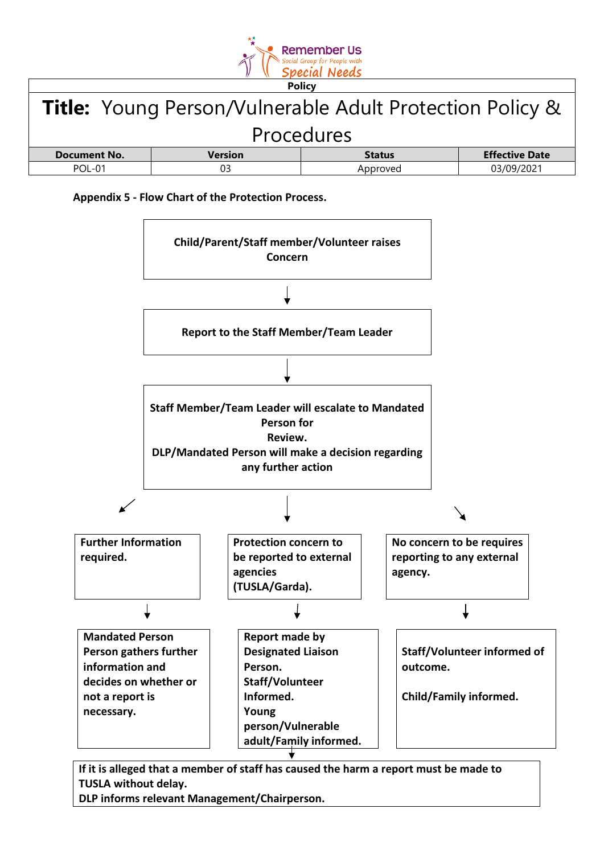

### **Title:** Young Person/Vulnerable Adult Protection Policy & Procedures **Document No.**  $\begin{array}{|c|c|c|c|c|}\n\hline\n\end{array}$  **Version**  $\begin{array}{|c|c|c|c|c|}\n\hline\n\end{array}$  **Status**  $\begin{array}{|c|c|c|c|c|}\n\hline\n\end{array}$  **Effective Date** POL-01 03 Approved 03/09/2021

#### **Appendix 5 - Flow Chart of the Protection Process.**



**If it is alleged that a member of staff has caused the harm a report must be made to TUSLA without delay. DLP informs relevant Management/Chairperson.**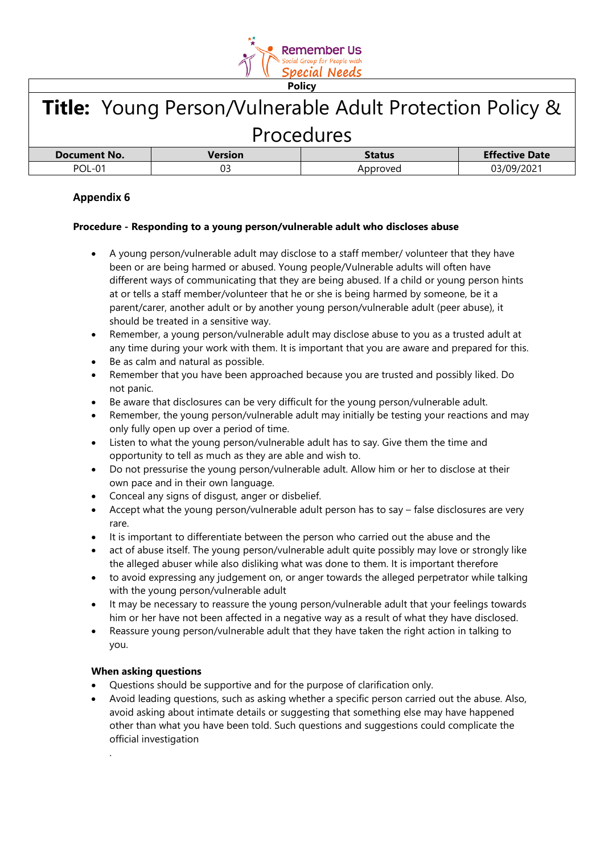

# **Title:** Young Person/Vulnerable Adult Protection Policy & Procedures

| <b>Document No.</b> | Version  | <b>Ttatus</b> | <b>Effective Date</b> |
|---------------------|----------|---------------|-----------------------|
| <b>POL</b>          | <b>.</b> | \pproved      | /2021                 |
| $\sim$              | ັບ       |               | 100.                  |

#### **Appendix 6**

#### **Procedure - Responding to a young person/vulnerable adult who discloses abuse**

- A young person/vulnerable adult may disclose to a staff member/ volunteer that they have been or are being harmed or abused. Young people/Vulnerable adults will often have different ways of communicating that they are being abused. If a child or young person hints at or tells a staff member/volunteer that he or she is being harmed by someone, be it a parent/carer, another adult or by another young person/vulnerable adult (peer abuse), it should be treated in a sensitive way.
- Remember, a young person/vulnerable adult may disclose abuse to you as a trusted adult at any time during your work with them. It is important that you are aware and prepared for this.
- Be as calm and natural as possible.
- Remember that you have been approached because you are trusted and possibly liked. Do not panic.
- Be aware that disclosures can be very difficult for the young person/vulnerable adult.
- Remember, the young person/vulnerable adult may initially be testing your reactions and may only fully open up over a period of time.
- Listen to what the young person/vulnerable adult has to say. Give them the time and opportunity to tell as much as they are able and wish to.
- Do not pressurise the young person/vulnerable adult. Allow him or her to disclose at their own pace and in their own language.
- Conceal any signs of disgust, anger or disbelief.
- Accept what the young person/vulnerable adult person has to say false disclosures are very rare.
- It is important to differentiate between the person who carried out the abuse and the
- act of abuse itself. The young person/vulnerable adult quite possibly may love or strongly like the alleged abuser while also disliking what was done to them. It is important therefore
- to avoid expressing any judgement on, or anger towards the alleged perpetrator while talking with the young person/vulnerable adult
- It may be necessary to reassure the young person/vulnerable adult that your feelings towards him or her have not been affected in a negative way as a result of what they have disclosed.
- Reassure young person/vulnerable adult that they have taken the right action in talking to you.

#### **When asking questions**

.

- Questions should be supportive and for the purpose of clarification only.
- Avoid leading questions, such as asking whether a specific person carried out the abuse. Also, avoid asking about intimate details or suggesting that something else may have happened other than what you have been told. Such questions and suggestions could complicate the official investigation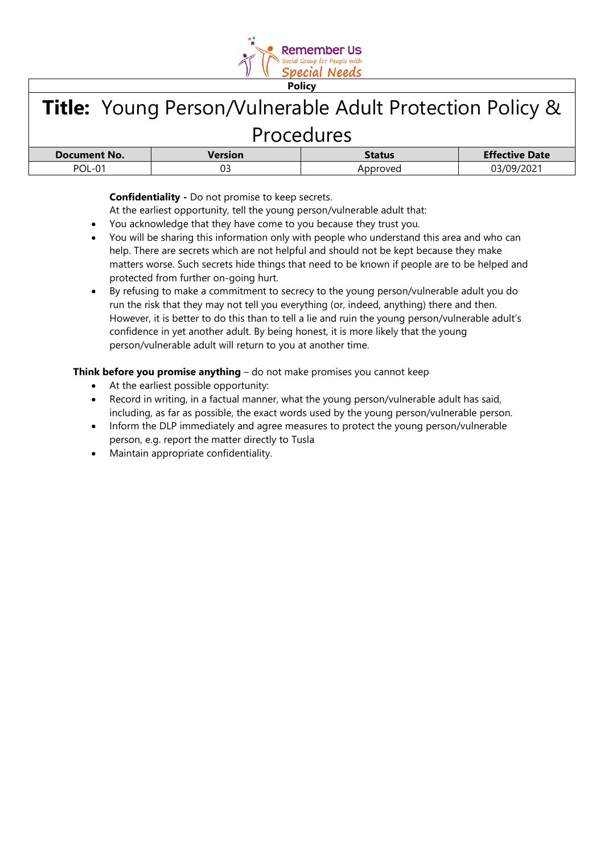

## **Title:** Young Person/Vulnerable Adult Protection Policy & Procedures

| <b>Document No.</b> | Version  | Status   | <b>Effective Date</b> |
|---------------------|----------|----------|-----------------------|
| <b>POL-01</b>       | ~~<br>ັັ | Approved | 03/09/2021            |

**Confidentiality -** Do not promise to keep secrets.

At the earliest opportunity, tell the young person/vulnerable adult that:

- You acknowledge that they have come to you because they trust you.
- You will be sharing this information only with people who understand this area and who can help. There are secrets which are not helpful and should not be kept because they make matters worse. Such secrets hide things that need to be known if people are to be helped and protected from further on-going hurt.
- By refusing to make a commitment to secrecy to the young person/vulnerable adult you do run the risk that they may not tell you everything (or, indeed, anything) there and then. However, it is better to do this than to tell a lie and ruin the young person/vulnerable adult's confidence in yet another adult. By being honest, it is more likely that the young person/vulnerable adult will return to you at another time.

**Think before you promise anything** – do not make promises you cannot keep

- At the earliest possible opportunity:
- Record in writing, in a factual manner, what the young person/vulnerable adult has said, including, as far as possible, the exact words used by the young person/vulnerable person.
- Inform the DLP immediately and agree measures to protect the young person/vulnerable person, e.g. report the matter directly to Tusla
- Maintain appropriate confidentiality.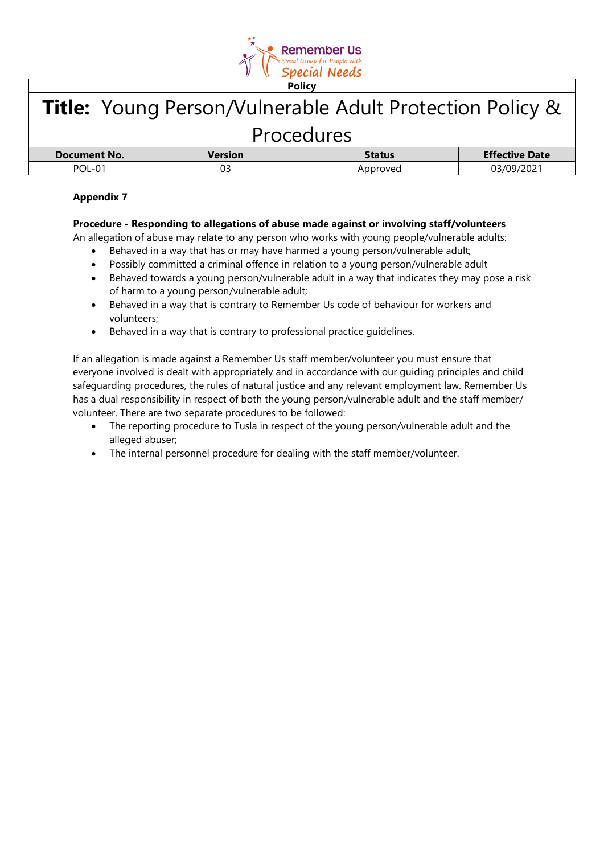

## **Title:** Young Person/Vulnerable Adult Protection Policy & Procedures

| <b>Document No.</b> | Version | Status   | <b>Effective Date</b> |
|---------------------|---------|----------|-----------------------|
| <b>POL-01</b>       | ບບ      | \pproved | 03/09/2021            |

#### **Appendix 7**

#### **Procedure - Responding to allegations of abuse made against or involving staff/volunteers**

An allegation of abuse may relate to any person who works with young people/vulnerable adults:

- Behaved in a way that has or may have harmed a young person/vulnerable adult;
- Possibly committed a criminal offence in relation to a young person/vulnerable adult
- Behaved towards a young person/vulnerable adult in a way that indicates they may pose a risk of harm to a young person/vulnerable adult;
- Behaved in a way that is contrary to Remember Us code of behaviour for workers and volunteers;
- Behaved in a way that is contrary to professional practice guidelines.

If an allegation is made against a Remember Us staff member/volunteer you must ensure that everyone involved is dealt with appropriately and in accordance with our guiding principles and child safeguarding procedures, the rules of natural justice and any relevant employment law. Remember Us has a dual responsibility in respect of both the young person/vulnerable adult and the staff member/ volunteer. There are two separate procedures to be followed:

- The reporting procedure to Tusla in respect of the young person/vulnerable adult and the alleged abuser;
- The internal personnel procedure for dealing with the staff member/volunteer.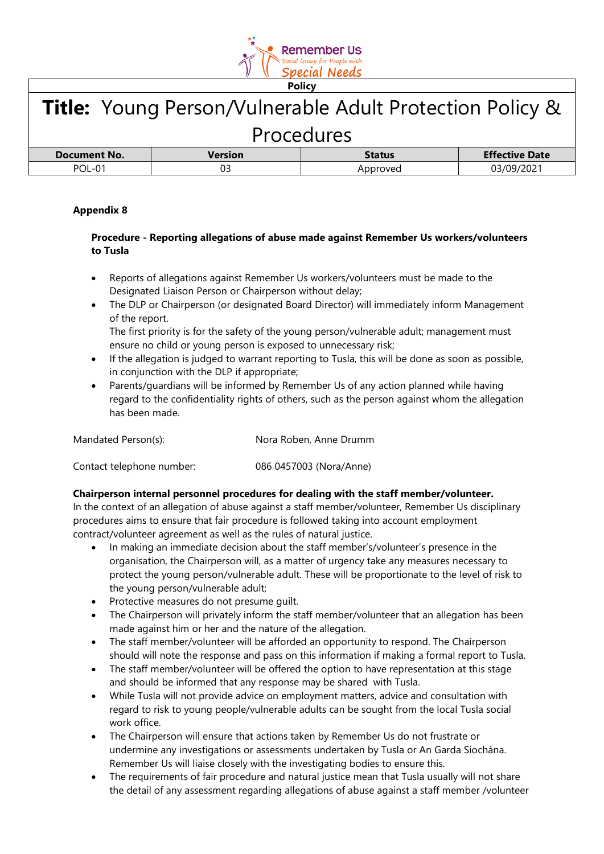

# **Title:** Young Person/Vulnerable Adult Protection Policy & Procedures

| Document No. | <b>Version</b> | Status   | <b>Effective Date</b> |
|--------------|----------------|----------|-----------------------|
| POL-01       | ັ              | \pproved | 03/09/2021            |

#### **Appendix 8**

#### **Procedure - Reporting allegations of abuse made against Remember Us workers/volunteers to Tusla**

- Reports of allegations against Remember Us workers/volunteers must be made to the Designated Liaison Person or Chairperson without delay;
- The DLP or Chairperson (or designated Board Director) will immediately inform Management of the report.

The first priority is for the safety of the young person/vulnerable adult; management must ensure no child or young person is exposed to unnecessary risk;

- If the allegation is judged to warrant reporting to Tusla, this will be done as soon as possible, in conjunction with the DLP if appropriate;
- Parents/guardians will be informed by Remember Us of any action planned while having regard to the confidentiality rights of others, such as the person against whom the allegation has been made.

| Mandated Person(s):       | Nora Roben, Anne Drumm  |
|---------------------------|-------------------------|
| Contact telephone number: | 086 0457003 (Nora/Anne) |

#### **Chairperson internal personnel procedures for dealing with the staff member/volunteer.**

In the context of an allegation of abuse against a staff member/volunteer, Remember Us disciplinary procedures aims to ensure that fair procedure is followed taking into account employment contract/volunteer agreement as well as the rules of natural justice.

- In making an immediate decision about the staff member's/volunteer's presence in the organisation, the Chairperson will, as a matter of urgency take any measures necessary to protect the young person/vulnerable adult. These will be proportionate to the level of risk to the young person/vulnerable adult;
- Protective measures do not presume guilt.
- The Chairperson will privately inform the staff member/volunteer that an allegation has been made against him or her and the nature of the allegation.
- The staff member/volunteer will be afforded an opportunity to respond. The Chairperson should will note the response and pass on this information if making a formal report to Tusla.
- The staff member/volunteer will be offered the option to have representation at this stage and should be informed that any response may be shared with Tusla.
- While Tusla will not provide advice on employment matters, advice and consultation with regard to risk to young people/vulnerable adults can be sought from the local Tusla social work office.
- The Chairperson will ensure that actions taken by Remember Us do not frustrate or undermine any investigations or assessments undertaken by Tusla or An Garda Síochána. Remember Us will liaise closely with the investigating bodies to ensure this.
- The requirements of fair procedure and natural justice mean that Tusla usually will not share the detail of any assessment regarding allegations of abuse against a staff member /volunteer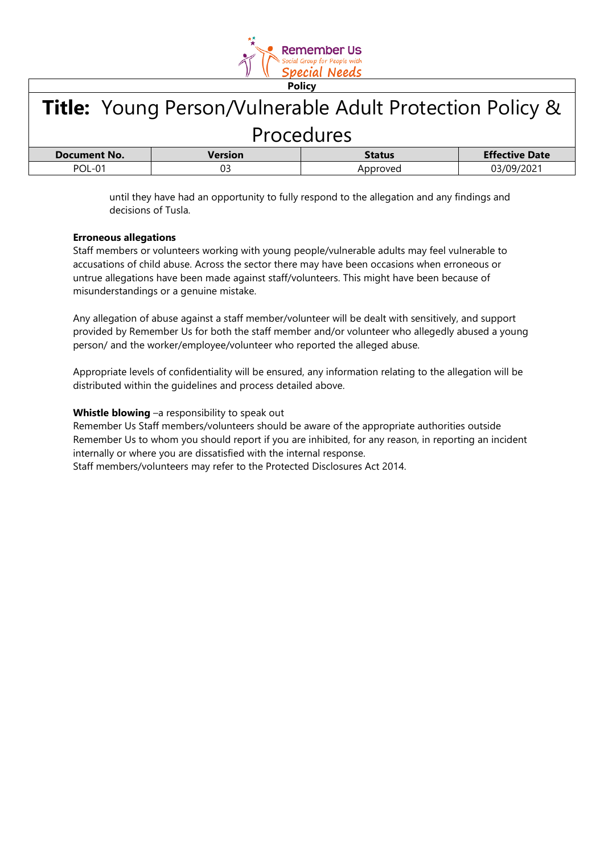

# **Title:** Young Person/Vulnerable Adult Protection Policy & Procedures

| <b>Document No.</b> | Version | Status  | <b>Effective Date</b> |
|---------------------|---------|---------|-----------------------|
| POL-J<br>$\sim$     | ັ       | pproved | /09/2021              |

until they have had an opportunity to fully respond to the allegation and any findings and decisions of Tusla.

#### **Erroneous allegations**

Staff members or volunteers working with young people/vulnerable adults may feel vulnerable to accusations of child abuse. Across the sector there may have been occasions when erroneous or untrue allegations have been made against staff/volunteers. This might have been because of misunderstandings or a genuine mistake.

Any allegation of abuse against a staff member/volunteer will be dealt with sensitively, and support provided by Remember Us for both the staff member and/or volunteer who allegedly abused a young person/ and the worker/employee/volunteer who reported the alleged abuse.

Appropriate levels of confidentiality will be ensured, any information relating to the allegation will be distributed within the guidelines and process detailed above.

#### **Whistle blowing** –a responsibility to speak out

Remember Us Staff members/volunteers should be aware of the appropriate authorities outside Remember Us to whom you should report if you are inhibited, for any reason, in reporting an incident internally or where you are dissatisfied with the internal response.

Staff members/volunteers may refer to the Protected Disclosures Act 2014.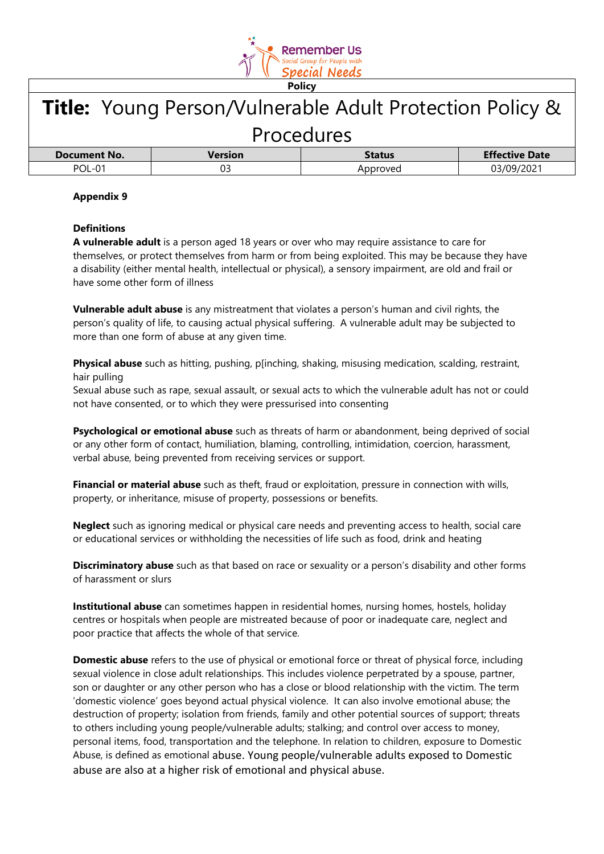

# **Title:** Young Person/Vulnerable Adult Protection Policy & Procedures

| Document No.  | Version | Status   | <b>Effective Date</b> |
|---------------|---------|----------|-----------------------|
| <b>POL-01</b> | 03      | Approved | 09/2021/              |

#### **Appendix 9**

#### **Definitions**

**A vulnerable adult** is a person aged 18 years or over who may require assistance to care for themselves, or protect themselves from harm or from being exploited. This may be because they have a disability (either mental health, intellectual or physical), a sensory impairment, are old and frail or have some other form of illness

**Vulnerable adult abuse** is any mistreatment that violates a person's human and civil rights, the person's quality of life, to causing actual physical suffering. A vulnerable adult may be subjected to more than one form of abuse at any given time.

**Physical abuse** such as hitting, pushing, p[inching, shaking, misusing medication, scalding, restraint, hair pulling

Sexual abuse such as rape, sexual assault, or sexual acts to which the vulnerable adult has not or could not have consented, or to which they were pressurised into consenting

**Psychological or emotional abuse** such as threats of harm or abandonment, being deprived of social or any other form of contact, humiliation, blaming, controlling, intimidation, coercion, harassment, verbal abuse, being prevented from receiving services or support.

**Financial or material abuse** such as theft, fraud or exploitation, pressure in connection with wills, property, or inheritance, misuse of property, possessions or benefits.

**Neglect** such as ignoring medical or physical care needs and preventing access to health, social care or educational services or withholding the necessities of life such as food, drink and heating

**Discriminatory abuse** such as that based on race or sexuality or a person's disability and other forms of harassment or slurs

**Institutional abuse** can sometimes happen in residential homes, nursing homes, hostels, holiday centres or hospitals when people are mistreated because of poor or inadequate care, neglect and poor practice that affects the whole of that service.

**Domestic abuse** refers to the use of physical or emotional force or threat of physical force, including sexual violence in close adult relationships. This includes violence perpetrated by a spouse, partner, son or daughter or any other person who has a close or blood relationship with the victim. The term 'domestic violence' goes beyond actual physical violence. It can also involve emotional abuse; the destruction of property; isolation from friends, family and other potential sources of support; threats to others including young people/vulnerable adults; stalking; and control over access to money, personal items, food, transportation and the telephone. In relation to children, exposure to Domestic Abuse, is defined as emotional abuse. Young people/vulnerable adults exposed to Domestic abuse are also at a higher risk of emotional and physical abuse.